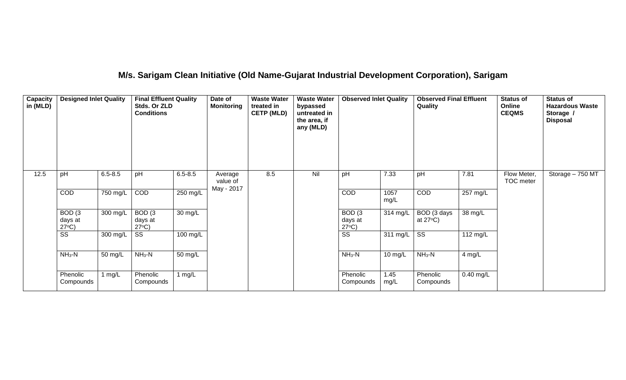# **M/s. Sarigam Clean Initiative (Old Name-Gujarat Industrial Development Corporation), Sarigam**

| Capacity<br>in (MLD) | <b>Designed Inlet Quality</b>                   |             | <b>Final Effluent Quality</b><br>Stds. Or ZLD<br><b>Conditions</b> |                      | Date of<br><b>Monitoring</b> | <b>Waste Water</b><br>treated in<br><b>CETP (MLD)</b> | <b>Waste Water</b><br>bypassed<br>untreated in<br>the area, if<br>any (MLD) | <b>Observed Inlet Quality</b>                   |              | <b>Observed Final Effluent</b><br>Quality |                      | <b>Status of</b><br>Online<br><b>CEQMS</b> | <b>Status of</b><br><b>Hazardous Waste</b><br>Storage /<br><b>Disposal</b> |
|----------------------|-------------------------------------------------|-------------|--------------------------------------------------------------------|----------------------|------------------------------|-------------------------------------------------------|-----------------------------------------------------------------------------|-------------------------------------------------|--------------|-------------------------------------------|----------------------|--------------------------------------------|----------------------------------------------------------------------------|
| 12.5                 | pH                                              | $6.5 - 8.5$ | pH                                                                 | $6.5 - 8.5$          | Average<br>value of          | 8.5                                                   | Nil                                                                         | pH                                              | 7.33         | pH                                        | 7.81                 | Flow Meter,<br>TOC meter                   | Storage - 750 MT                                                           |
|                      | COD                                             | 750 mg/L    | COD                                                                | $250$ mg/L           | May - 2017                   |                                                       |                                                                             | COD                                             | 1057<br>mg/L | COD                                       | $257 \text{ mg/L}$   |                                            |                                                                            |
|                      | BOD <sub>(3</sub><br>days at<br>$27^{\circ}C$ ) | 300 mg/L    | BOD <sub>(3</sub><br>days at<br>$27^{\circ}C$ )                    | 30 mg/L              |                              |                                                       |                                                                             | BOD <sub>(3</sub><br>days at<br>$27^{\circ}C$ ) | 314 mg/L     | BOD (3 days<br>at $27^{\circ}$ C)         | $\overline{38}$ mg/L |                                            |                                                                            |
|                      | $\overline{\text{ss}}$                          | 300 mg/L    | $\overline{\text{ss}}$                                             | 100 mg/L             |                              |                                                       |                                                                             | $\overline{\text{ss}}$                          | 311 mg/L     | $\overline{\text{ss}}$                    | 112 mg/L             |                                            |                                                                            |
|                      | $NH3-N$                                         | 50 mg/L     | $NH3-N$                                                            | $\overline{50}$ mg/L |                              |                                                       |                                                                             | $NH3-N$                                         | 10 mg/L      | $NH3-N$                                   | 4 mg/L               |                                            |                                                                            |
|                      | Phenolic<br>Compounds                           | 1 mg/L      | Phenolic<br>Compounds                                              | 1 $mg/L$             |                              |                                                       |                                                                             | Phenolic<br>Compounds                           | 1.45<br>mg/L | Phenolic<br>Compounds                     | $0.40$ mg/L          |                                            |                                                                            |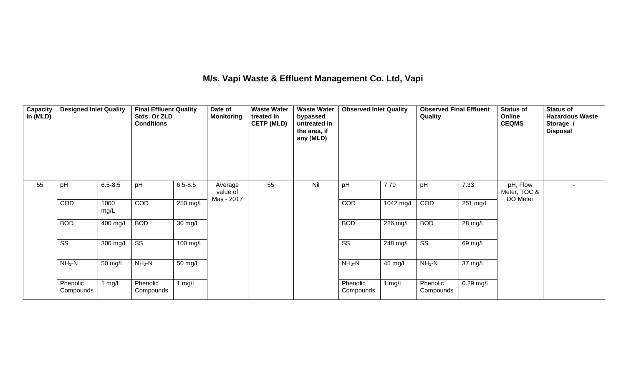## **M/s. Vapi Waste & Effluent Management Co. Ltd, Vapi**

| Capacity<br>in (MLD) | <b>Designed Inlet Quality</b> |              | <b>Final Effluent Quality</b><br>Stds. Or ZLD<br><b>Conditions</b> |             | Date of<br><b>Monitoring</b>      | <b>Waste Water</b><br>treated in<br><b>CETP (MLD)</b> | <b>Waste Water</b><br>bypassed<br>untreated in<br>the area, if<br>any (MLD) | <b>Observed Inlet Quality</b> |                    | <b>Observed Final Effluent</b><br>Quality |                      | <b>Status of</b><br>Online<br><b>CEQMS</b> | <b>Status of</b><br><b>Hazardous Waste</b><br>Storage /<br><b>Disposal</b> |
|----------------------|-------------------------------|--------------|--------------------------------------------------------------------|-------------|-----------------------------------|-------------------------------------------------------|-----------------------------------------------------------------------------|-------------------------------|--------------------|-------------------------------------------|----------------------|--------------------------------------------|----------------------------------------------------------------------------|
| 55                   | pH                            | $6.5 - 8.5$  | pH                                                                 | $6.5 - 8.5$ | Average<br>value of<br>May - 2017 | 55                                                    | Nil                                                                         | pH                            | 7.79               | pH                                        | 7.33                 | pH, Flow<br>Meter, TOC &<br>DO Meter       |                                                                            |
|                      | COD                           | 1000<br>mg/L | COD                                                                | 250 mg/L    |                                   |                                                       |                                                                             | COD                           | 1042 mg/L          | COD                                       | 251 mg/L             |                                            |                                                                            |
|                      | <b>BOD</b>                    | 400 mg/L     | <b>BOD</b>                                                         | 30 mg/L     |                                   |                                                       |                                                                             | <b>BOD</b>                    | 226 mg/L           | <b>BOD</b>                                | $\overline{28}$ mg/L |                                            |                                                                            |
|                      | $\overline{\text{ss}}$        | 300 mg/L     | $\overline{\text{SS}}$                                             | 100 mg/L    |                                   |                                                       |                                                                             | $\overline{\text{ss}}$        | $248 \text{ mg/L}$ | $\overline{\text{ss}}$                    | 69 mg/L              |                                            |                                                                            |
|                      | $NH3-N$                       | 50 mg/L      | $NH_3-N$                                                           | 50 mg/L     |                                   |                                                       |                                                                             | $NH_3-N$                      | 45 mg/L            | $NH_3-N$                                  | 37 mg/L              |                                            |                                                                            |
|                      | Phenolic<br>Compounds         | 1 $mg/L$     | Phenolic<br>Compounds                                              | 1 $mg/L$    |                                   |                                                       |                                                                             | Phenolic<br>Compounds         | 1 mg/L             | Phenolic<br>Compounds                     | $0.29$ mg/L          |                                            |                                                                            |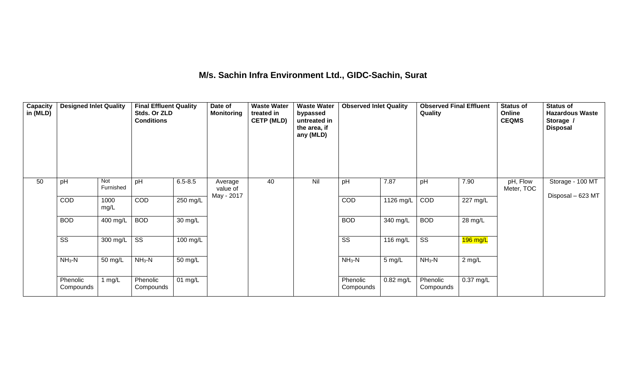## **M/s. Sachin Infra Environment Ltd., GIDC-Sachin, Surat**

| Capacity<br>in (MLD) | <b>Designed Inlet Quality</b> |                  | <b>Final Effluent Quality</b><br>Stds. Or ZLD<br><b>Conditions</b> |             | Date of<br><b>Monitoring</b> | <b>Waste Water</b><br>treated in<br><b>CETP (MLD)</b> | <b>Waste Water</b><br>bypassed<br>untreated in<br>the area, if<br>any (MLD) | <b>Observed Inlet Quality</b> |                  | <b>Observed Final Effluent</b><br>Quality |                    | <b>Status of</b><br>Online<br><b>CEQMS</b> | <b>Status of</b><br><b>Hazardous Waste</b><br>Storage /<br><b>Disposal</b> |
|----------------------|-------------------------------|------------------|--------------------------------------------------------------------|-------------|------------------------------|-------------------------------------------------------|-----------------------------------------------------------------------------|-------------------------------|------------------|-------------------------------------------|--------------------|--------------------------------------------|----------------------------------------------------------------------------|
| 50                   | pH                            | Not<br>Furnished | pH                                                                 | $6.5 - 8.5$ | Average<br>value of          | 40                                                    | Nil                                                                         | pH                            | 7.87             | pH                                        | 7.90               | pH, Flow<br>Meter, TOC                     | Storage - 100 MT                                                           |
|                      | COD                           | 1000<br>mg/L     | COD                                                                | 250 mg/L    | May - 2017                   |                                                       |                                                                             | COD                           | $1126$ mg/L      | COD                                       | $227 \text{ mg/L}$ |                                            | Disposal - 623 MT                                                          |
|                      | <b>BOD</b>                    | 400 mg/L         | <b>BOD</b>                                                         | 30 mg/L     |                              |                                                       |                                                                             | <b>BOD</b>                    | 340 mg/L         | <b>BOD</b>                                | 28 mg/L            |                                            |                                                                            |
|                      | $\overline{\text{SS}}$        | 300 mg/L         | $\overline{\text{ss}}$                                             | 100 mg/L    |                              |                                                       |                                                                             | $\overline{\text{SS}}$        | 116 mg/L         | $\overline{\text{ss}}$                    | $196$ mg/L         |                                            |                                                                            |
|                      | $NH3-N$                       | 50 mg/L          | $NH_3-N$                                                           | 50 mg/L     |                              |                                                       |                                                                             | $NH_3-N$                      | $5 \text{ mg/L}$ | $NH3-N$                                   | $2$ mg/L           |                                            |                                                                            |
|                      | Phenolic<br>Compounds         | 1 $mg/L$         | Phenolic<br>Compounds                                              | $01$ mg/L   |                              |                                                       |                                                                             | Phenolic<br>Compounds         | 0.82 mg/L        | Phenolic<br>Compounds                     | 0.37 mg/L          |                                            |                                                                            |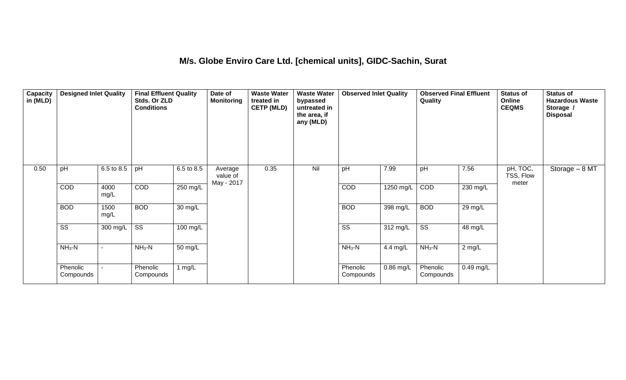#### **M/s. Globe Enviro Care Ltd. [chemical units], GIDC-Sachin, Surat**

| Capacity<br>in $(MLD)$ | <b>Designed Inlet Quality</b> |              | <b>Final Effluent Quality</b><br>Stds. Or ZLD<br><b>Conditions</b> |                    | Date of<br><b>Monitoring</b>      | <b>Waste Water</b><br>treated in<br><b>CETP (MLD)</b> | <b>Waste Water</b><br>bypassed<br>untreated in<br>the area, if<br>any (MLD) | <b>Observed Inlet Quality</b> |                       | <b>Observed Final Effluent</b><br>Quality |           | <b>Status of</b><br>Online<br><b>CEQMS</b> | <b>Status of</b><br><b>Hazardous Waste</b><br>Storage /<br><b>Disposal</b> |
|------------------------|-------------------------------|--------------|--------------------------------------------------------------------|--------------------|-----------------------------------|-------------------------------------------------------|-----------------------------------------------------------------------------|-------------------------------|-----------------------|-------------------------------------------|-----------|--------------------------------------------|----------------------------------------------------------------------------|
| 0.50                   | pH                            | 6.5 to 8.5   | pH                                                                 | 6.5 to 8.5         | Average<br>value of<br>May - 2017 | 0.35                                                  | Nil                                                                         | pH                            | 7.99                  | pH                                        | 7.56      | pH, TOC,<br>TSS, Flow<br>meter             | Storage $-8$ MT                                                            |
|                        | COD                           | 4000<br>mg/L | <b>COD</b>                                                         | 250 mg/L           |                                   |                                                       |                                                                             | COD                           | 1250 mg/L             | COD                                       | 230 mg/L  |                                            |                                                                            |
|                        | <b>BOD</b>                    | 1500<br>mg/L | <b>BOD</b>                                                         | $30 \text{ mg/L}$  |                                   |                                                       |                                                                             | <b>BOD</b>                    | $\overline{398}$ mg/L | <b>BOD</b>                                | 29 mg/L   |                                            |                                                                            |
|                        | $\overline{\text{ss}}$        | 300 mg/L     | $\overline{\text{ss}}$                                             | $100 \text{ mg/L}$ |                                   |                                                       |                                                                             | $\overline{\text{ss}}$        | 312 mg/L              | $\overline{\text{ss}}$                    | 48 mg/L   |                                            |                                                                            |
|                        | $NH3-N$                       |              | $NH3-N$                                                            | 50 mg/L            |                                   |                                                       |                                                                             | $NH3-N$                       | 4.4 mg/L              | $NH3-N$                                   | 2 mg/L    |                                            |                                                                            |
|                        | Phenolic<br>Compounds         |              | Phenolic<br>Compounds                                              | 1 $mg/L$           |                                   |                                                       |                                                                             | Phenolic<br>Compounds         | 0.86 mg/L             | Phenolic<br>Compounds                     | 0.49 mg/L |                                            |                                                                            |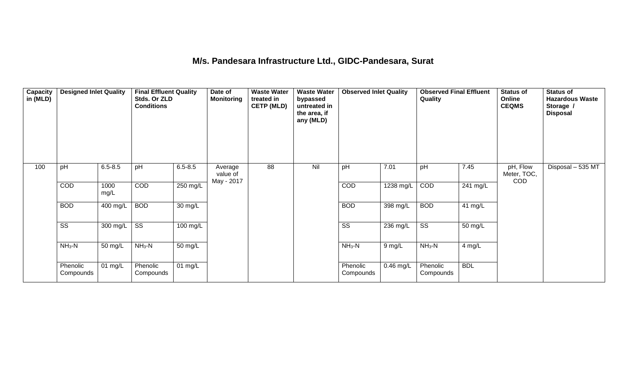#### **M/s. Pandesara Infrastructure Ltd., GIDC-Pandesara, Surat**

| Capacity<br>in (MLD) | <b>Designed Inlet Quality</b> |              | <b>Final Effluent Quality</b><br>Stds. Or ZLD<br><b>Conditions</b> |                      | Date of<br><b>Monitoring</b>      | <b>Waste Water</b><br>treated in<br><b>CETP (MLD)</b> | <b>Waste Water</b><br>bypassed<br>untreated in<br>the area, if<br>any (MLD) | <b>Observed Inlet Quality</b> |             | <b>Observed Final Effluent</b><br>Quality |            | <b>Status of</b><br><b>Online</b><br><b>CEQMS</b> | <b>Status of</b><br><b>Hazardous Waste</b><br>Storage /<br><b>Disposal</b> |
|----------------------|-------------------------------|--------------|--------------------------------------------------------------------|----------------------|-----------------------------------|-------------------------------------------------------|-----------------------------------------------------------------------------|-------------------------------|-------------|-------------------------------------------|------------|---------------------------------------------------|----------------------------------------------------------------------------|
| 100                  | pH                            | $6.5 - 8.5$  | pH                                                                 | $6.5 - 8.5$          | Average<br>value of<br>May - 2017 | 88                                                    | Nil                                                                         | pH                            | 7.01        | pH                                        | 7.45       | pH, Flow<br>Meter, TOC,<br><b>COD</b>             | Disposal - 535 MT                                                          |
|                      | <b>COD</b>                    | 1000<br>mg/L | COD                                                                | 250 mg/L             |                                   |                                                       |                                                                             | COD                           | 1238 mg/L   | COD                                       | $241$ mg/L |                                                   |                                                                            |
|                      | <b>BOD</b>                    | 400 mg/L     | <b>BOD</b>                                                         | 30 mg/L              |                                   |                                                       |                                                                             | <b>BOD</b>                    | 398 mg/L    | <b>BOD</b>                                | 41 mg/L    |                                                   |                                                                            |
|                      | $\overline{\text{ss}}$        | 300 mg/L     | $\overline{\text{SS}}$                                             | 100 mg/L             |                                   |                                                       |                                                                             | $\overline{\text{SS}}$        | 236 mg/L    | $\overline{\text{ss}}$                    | 50 mg/L    |                                                   |                                                                            |
|                      | $NH3-N$                       | 50 mg/L      | $NH3-N$                                                            | $\overline{50}$ mg/L |                                   |                                                       |                                                                             | $NH_3-N$                      | $9$ mg/L    | $NH_3-N$                                  | 4 mg/L     |                                                   |                                                                            |
|                      | Phenolic<br>Compounds         | 01 mg/L      | Phenolic<br>Compounds                                              | 01 mg/L              |                                   |                                                       |                                                                             | Phenolic<br>Compounds         | $0.46$ mg/L | Phenolic<br>Compounds                     | <b>BDL</b> |                                                   |                                                                            |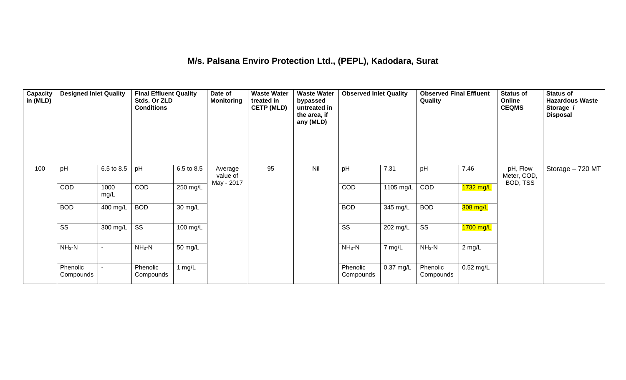#### **M/s. Palsana Enviro Protection Ltd., (PEPL), Kadodara, Surat**

| Capacity<br>in (MLD) | <b>Designed Inlet Quality</b> |              | <b>Final Effluent Quality</b><br>Stds. Or ZLD<br><b>Conditions</b> |                       | Date of<br><b>Monitoring</b>      | <b>Waste Water</b><br>treated in<br><b>CETP (MLD)</b> | <b>Waste Water</b><br>bypassed<br>untreated in<br>the area, if<br>any (MLD) | <b>Observed Inlet Quality</b> |           | <b>Observed Final Effluent</b><br>Quality |             | <b>Status of</b><br>Online<br><b>CEQMS</b> | <b>Status of</b><br><b>Hazardous Waste</b><br>Storage /<br><b>Disposal</b> |
|----------------------|-------------------------------|--------------|--------------------------------------------------------------------|-----------------------|-----------------------------------|-------------------------------------------------------|-----------------------------------------------------------------------------|-------------------------------|-----------|-------------------------------------------|-------------|--------------------------------------------|----------------------------------------------------------------------------|
| 100                  | pH                            | 6.5 to 8.5   | pH                                                                 | 6.5 to 8.5            | Average<br>value of<br>May - 2017 | 95                                                    | Nil                                                                         | pH                            | 7.31      | pH                                        | 7.46        | pH, Flow<br>Meter, COD,<br>BOD, TSS        | Storage - 720 MT                                                           |
|                      | COD                           | 1000<br>mg/L | COD                                                                | 250 mg/L              |                                   |                                                       |                                                                             | COD                           | 1105 mg/L | COD                                       | 1732 mg/L   |                                            |                                                                            |
|                      | <b>BOD</b>                    | 400 mg/L     | <b>BOD</b>                                                         | $\overline{30}$ mg/L  |                                   |                                                       |                                                                             | <b>BOD</b>                    | 345 mg/L  | <b>BOD</b>                                | 308 mg/L    |                                            |                                                                            |
|                      | $\overline{\text{ss}}$        | 300 mg/L     | $\overline{\text{ss}}$                                             | $\overline{100}$ mg/L |                                   |                                                       |                                                                             | $\overline{\text{ss}}$        | 202 mg/L  | $\overline{\text{ss}}$                    | $1700$ mg/L |                                            |                                                                            |
|                      | $NH3-N$                       |              | $NH3-N$                                                            | 50 mg/L               |                                   |                                                       |                                                                             | $NH3-N$                       | 7 mg/L    | $NH3-N$                                   | 2 mg/L      |                                            |                                                                            |
|                      | Phenolic<br>Compounds         |              | Phenolic<br>Compounds                                              | 1 $mg/L$              |                                   |                                                       |                                                                             | Phenolic<br>Compounds         | 0.37 mg/L | Phenolic<br>Compounds                     | $0.52$ mg/L |                                            |                                                                            |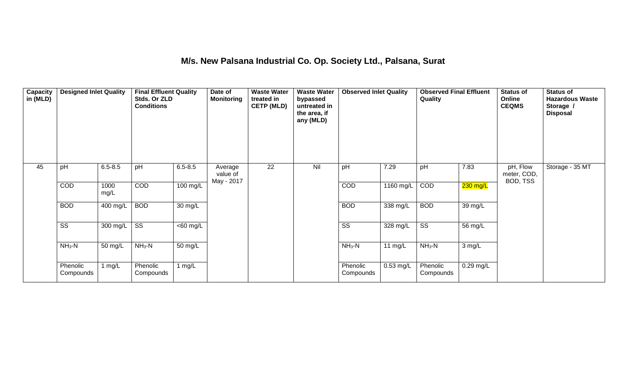### **M/s. New Palsana Industrial Co. Op. Society Ltd., Palsana, Surat**

| Capacity<br>in (MLD) | <b>Designed Inlet Quality</b> |              | <b>Final Effluent Quality</b><br>Stds. Or ZLD<br><b>Conditions</b> |             | Date of<br><b>Monitoring</b>      | <b>Waste Water</b><br>treated in<br><b>CETP (MLD)</b> | <b>Waste Water</b><br>bypassed<br>untreated in<br>the area, if<br>any (MLD) | <b>Observed Inlet Quality</b> |             | <b>Observed Final Effluent</b><br>Quality |             | <b>Status of</b><br>Online<br><b>CEQMS</b> | <b>Status of</b><br><b>Hazardous Waste</b><br>Storage /<br><b>Disposal</b> |
|----------------------|-------------------------------|--------------|--------------------------------------------------------------------|-------------|-----------------------------------|-------------------------------------------------------|-----------------------------------------------------------------------------|-------------------------------|-------------|-------------------------------------------|-------------|--------------------------------------------|----------------------------------------------------------------------------|
| 45                   | pH                            | $6.5 - 8.5$  | pH                                                                 | $6.5 - 8.5$ | Average<br>value of<br>May - 2017 | 22                                                    | Nil                                                                         | pH                            | 7.29        | pH                                        | 7.83        | pH, Flow<br>meter, COD,<br>BOD, TSS        | Storage - 35 MT                                                            |
|                      | COD                           | 1000<br>mg/L | COD                                                                | 100 mg/L    |                                   |                                                       |                                                                             | COD                           | 1160 mg/L   | COD                                       | $230$ mg/L  |                                            |                                                                            |
|                      | <b>BOD</b>                    | 400 mg/L     | <b>BOD</b>                                                         | 30 mg/L     |                                   |                                                       |                                                                             | <b>BOD</b>                    | 338 mg/L    | <b>BOD</b>                                | 39 mg/L     |                                            |                                                                            |
|                      | $\overline{\text{SS}}$        | 300 mg/L     | $\overline{\text{ss}}$                                             | $<$ 60 mg/L |                                   |                                                       |                                                                             | $\overline{\text{ss}}$        | 328 mg/L    | $\overline{\text{ss}}$                    | 56 mg/L     |                                            |                                                                            |
|                      | $NH3-N$                       | 50 mg/L      | $NH3-N$                                                            | 50 mg/L     |                                   |                                                       |                                                                             | $NH_3-N$                      | 11 $mg/L$   | $NH3-N$                                   | 3 mg/L      |                                            |                                                                            |
|                      | Phenolic<br>Compounds         | 1 $mg/L$     | Phenolic<br>Compounds                                              | 1 mg/L      |                                   |                                                       |                                                                             | Phenolic<br>Compounds         | $0.53$ mg/L | Phenolic<br>Compounds                     | $0.29$ mg/L |                                            |                                                                            |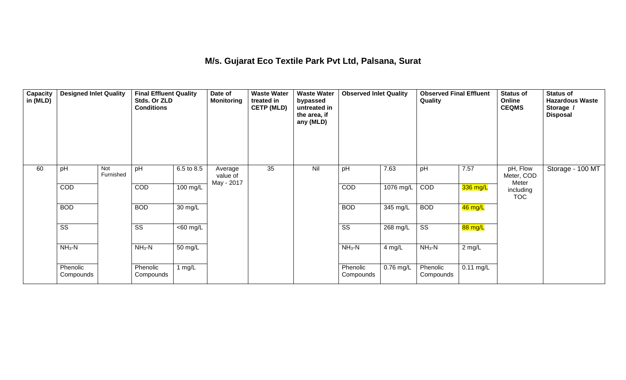#### **M/s. Gujarat Eco Textile Park Pvt Ltd, Palsana, Surat**

| <b>Capacity</b><br>in (MLD) | <b>Designed Inlet Quality</b> |                  | <b>Final Effluent Quality</b><br>Stds. Or ZLD<br><b>Conditions</b> |                      | Date of<br><b>Monitoring</b>      | <b>Waste Water</b><br>treated in<br><b>CETP (MLD)</b> | <b>Waste Water</b><br>bypassed<br>untreated in<br>the area, if<br>any (MLD) | <b>Observed Inlet Quality</b> |             | <b>Observed Final Effluent</b><br>Quality |             | <b>Status of</b><br>Online<br><b>CEQMS</b> | <b>Status of</b><br><b>Hazardous Waste</b><br>Storage /<br><b>Disposal</b> |
|-----------------------------|-------------------------------|------------------|--------------------------------------------------------------------|----------------------|-----------------------------------|-------------------------------------------------------|-----------------------------------------------------------------------------|-------------------------------|-------------|-------------------------------------------|-------------|--------------------------------------------|----------------------------------------------------------------------------|
| 60                          | pH                            | Not<br>Furnished | pH                                                                 | 6.5 to 8.5           | Average<br>value of<br>May - 2017 | 35                                                    | Nil                                                                         | pH                            | 7.63        | pH                                        | 7.57        | pH, Flow<br>Meter, COD<br>Meter            | Storage - 100 MT                                                           |
|                             | COD                           |                  | COD                                                                | 100 mg/L             |                                   |                                                       |                                                                             | COD                           | 1076 mg/L   | COD                                       | 336 mg/L    | including<br><b>TOC</b>                    |                                                                            |
|                             | <b>BOD</b>                    |                  | <b>BOD</b>                                                         | $\overline{30}$ mg/L |                                   |                                                       |                                                                             | <b>BOD</b>                    | 345 mg/L    | <b>BOD</b>                                | $46$ mg/L   |                                            |                                                                            |
|                             | $\overline{\text{ss}}$        |                  | $\overline{\text{ss}}$                                             | $<$ 60 mg/L          |                                   |                                                       |                                                                             | $\overline{\text{ss}}$        | 268 mg/L    | $\overline{\text{ss}}$                    | 88 mg/L     |                                            |                                                                            |
|                             | $NH_3-N$                      |                  | $NH3-N$                                                            | 50 mg/L              |                                   |                                                       |                                                                             | $NH3-N$                       | 4 mg/L      | $NH3-N$                                   | 2 mg/L      |                                            |                                                                            |
|                             | Phenolic<br>Compounds         |                  | Phenolic<br>Compounds                                              | 1 $mg/L$             |                                   |                                                       |                                                                             | Phenolic<br>Compounds         | $0.76$ mg/L | Phenolic<br>Compounds                     | $0.11$ mg/L |                                            |                                                                            |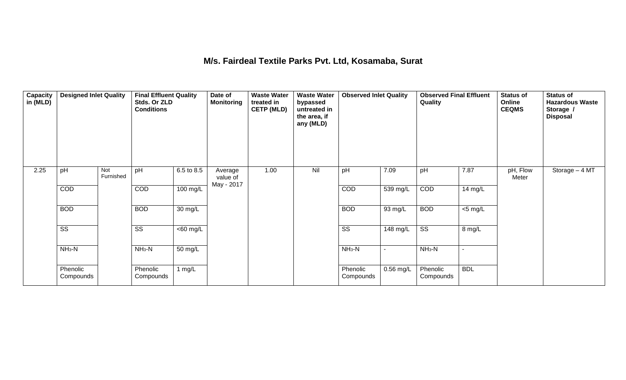#### **M/s. Fairdeal Textile Parks Pvt. Ltd, Kosamaba, Surat**

| Capacity<br>in (MLD) | <b>Designed Inlet Quality</b> |                  | <b>Final Effluent Quality</b><br>Stds. Or ZLD<br><b>Conditions</b> |                       | Date of<br><b>Monitoring</b>      | <b>Waste Water</b><br>treated in<br><b>CETP (MLD)</b> | <b>Waste Water</b><br>bypassed<br>untreated in<br>the area, if<br>any (MLD) | <b>Observed Inlet Quality</b> |                          | <b>Observed Final Effluent</b><br>Quality |            | <b>Status of</b><br>Online<br><b>CEQMS</b> | <b>Status of</b><br><b>Hazardous Waste</b><br>Storage /<br><b>Disposal</b> |
|----------------------|-------------------------------|------------------|--------------------------------------------------------------------|-----------------------|-----------------------------------|-------------------------------------------------------|-----------------------------------------------------------------------------|-------------------------------|--------------------------|-------------------------------------------|------------|--------------------------------------------|----------------------------------------------------------------------------|
| 2.25                 | pH                            | Not<br>Furnished | pH                                                                 | 6.5 to 8.5            | Average<br>value of<br>May - 2017 | 1.00                                                  | Nil                                                                         | pH                            | 7.09                     | pH                                        | 7.87       | pH, Flow<br>Meter                          | Storage $-4$ MT                                                            |
|                      | <b>COD</b>                    |                  | COD                                                                | 100 mg/L              |                                   |                                                       |                                                                             | COD                           | 539 mg/L                 | COD                                       | 14 mg/L    |                                            |                                                                            |
|                      | <b>BOD</b>                    |                  | <b>BOD</b>                                                         | 30 mg/L               |                                   |                                                       |                                                                             | <b>BOD</b>                    | 93 mg/L                  | <b>BOD</b>                                | $<$ 5 mg/L |                                            |                                                                            |
|                      | $\overline{\text{ss}}$        |                  | $\overline{\text{ss}}$                                             | $\overline{<}60$ mg/L |                                   |                                                       |                                                                             | $\overline{\text{ss}}$        | 148 mg/L                 | $\overline{\text{SS}}$                    | 8 mg/L     |                                            |                                                                            |
|                      | $NH3-N$                       |                  | $NH3-N$                                                            | 50 mg/L               |                                   |                                                       |                                                                             | $NH3-N$                       | $\overline{\phantom{a}}$ | $NH3-N$                                   |            |                                            |                                                                            |
|                      | Phenolic<br>Compounds         |                  | Phenolic<br>Compounds                                              | 1 $mg/L$              |                                   |                                                       |                                                                             | Phenolic<br>Compounds         | $0.56$ mg/L              | Phenolic<br>Compounds                     | <b>BDL</b> |                                            |                                                                            |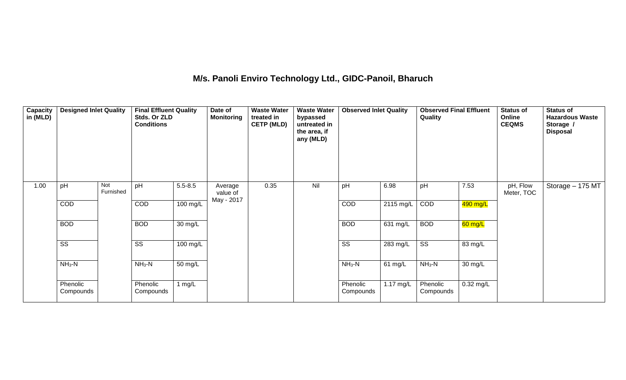## **M/s. Panoli Enviro Technology Ltd., GIDC-Panoil, Bharuch**

| Capacity<br>in (MLD) | <b>Designed Inlet Quality</b> |                  | <b>Final Effluent Quality</b><br>Stds. Or ZLD<br><b>Conditions</b> |             | Date of<br><b>Monitoring</b> | <b>Waste Water</b><br>treated in<br><b>CETP (MLD)</b> | <b>Waste Water</b><br>bypassed<br>untreated in<br>the area, if<br>any (MLD) | <b>Observed Inlet Quality</b> |           | <b>Observed Final Effluent</b><br>Quality |             | <b>Status of</b><br>Online<br><b>CEQMS</b> | <b>Status of</b><br><b>Hazardous Waste</b><br>Storage /<br><b>Disposal</b> |
|----------------------|-------------------------------|------------------|--------------------------------------------------------------------|-------------|------------------------------|-------------------------------------------------------|-----------------------------------------------------------------------------|-------------------------------|-----------|-------------------------------------------|-------------|--------------------------------------------|----------------------------------------------------------------------------|
| 1.00                 | pH                            | Not<br>Furnished | pH                                                                 | $5.5 - 8.5$ | Average<br>value of          | 0.35                                                  | Nil                                                                         | pH                            | 6.98      | pH                                        | 7.53        | pH, Flow<br>Meter, TOC                     | Storage - 175 MT                                                           |
|                      | COD                           |                  | COD                                                                | 100 mg/L    | May - 2017                   |                                                       |                                                                             | COD                           | 2115 mg/L | COD                                       | 490 mg/L    |                                            |                                                                            |
|                      | <b>BOD</b>                    |                  | <b>BOD</b>                                                         | 30 mg/L     |                              |                                                       |                                                                             | <b>BOD</b>                    | 631 mg/L  | <b>BOD</b>                                | $60$ mg/L   |                                            |                                                                            |
|                      | $\overline{\text{SS}}$        |                  | SS                                                                 | 100 mg/L    |                              |                                                       |                                                                             | $\overline{\text{ss}}$        | 283 mg/L  | $\overline{\text{ss}}$                    | 83 mg/L     |                                            |                                                                            |
|                      | $NH3-N$                       |                  | $NH3-N$                                                            | 50 mg/L     |                              |                                                       |                                                                             | $NH3-N$                       | 61 mg/L   | $NH_3-N$                                  | 30 mg/L     |                                            |                                                                            |
|                      | Phenolic<br>Compounds         |                  | Phenolic<br>Compounds                                              | 1 mg/ $L$   |                              |                                                       |                                                                             | Phenolic<br>Compounds         | 1.17 mg/L | Phenolic<br>Compounds                     | $0.32$ mg/L |                                            |                                                                            |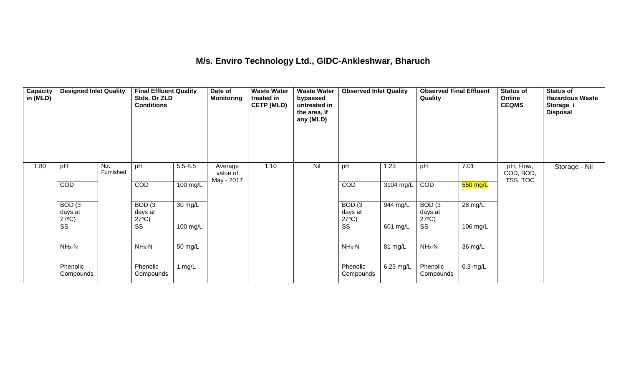### **M/s. Enviro Technology Ltd., GIDC-Ankleshwar, Bharuch**

| Capacity<br>in (MLD) | <b>Designed Inlet Quality</b>        |                  | <b>Final Effluent Quality</b><br>Stds. Or ZLD<br><b>Conditions</b> |                   | Date of<br><b>Monitoring</b>      | <b>Waste Water</b><br>treated in<br><b>CETP (MLD)</b> | <b>Waste Water</b><br>bypassed<br>untreated in<br>the area, if<br>any (MLD) | <b>Observed Inlet Quality</b>                   |           | <b>Observed Final Effluent</b><br>Quality |                    | <b>Status of</b><br>Online<br><b>CEQMS</b> | <b>Status of</b><br><b>Hazardous Waste</b><br>Storage /<br><b>Disposal</b> |
|----------------------|--------------------------------------|------------------|--------------------------------------------------------------------|-------------------|-----------------------------------|-------------------------------------------------------|-----------------------------------------------------------------------------|-------------------------------------------------|-----------|-------------------------------------------|--------------------|--------------------------------------------|----------------------------------------------------------------------------|
| 1.80                 | pH                                   | Not<br>Furnished | pH                                                                 | $5.5 - 8.5$       | Average<br>value of<br>May - 2017 | 1.10                                                  | Nil                                                                         | pH                                              | 1.23      | pH                                        | 7.01               | pH, Flow,<br>COD, BOD,<br>TSS, TOC         | Storage - Nil                                                              |
|                      | COD                                  |                  | COD                                                                | 100 mg/L          |                                   |                                                       |                                                                             | <b>COD</b>                                      | 3104 mg/L | COD                                       | 550 mg/L           |                                            |                                                                            |
|                      | BOD(3)<br>days at<br>$27^{\circ}C$ ) |                  | BOD <sub>(3</sub><br>days at<br>$27^{\circ}C$ )                    | $30 \text{ mg/L}$ |                                   |                                                       |                                                                             | BOD <sub>(3</sub><br>days at<br>$27^{\circ}C$ ) | 944 mg/L  | BOD(3)<br>days at<br>$27^{\circ}C$ )      | 28 mg/L            |                                            |                                                                            |
|                      | $\overline{\text{SS}}$               |                  | $\overline{\text{ss}}$                                             | 100 mg/L          |                                   |                                                       |                                                                             | $\overline{\text{ss}}$                          | 601 mg/L  | $\overline{\text{ss}}$                    | 106 mg/L           |                                            |                                                                            |
|                      | $NH3-N$                              |                  | $NH_3-N$                                                           | 50 mg/L           |                                   |                                                       |                                                                             | $NH3-N$                                         | 81 mg/L   | $NH3-N$                                   | 36 mg/L            |                                            |                                                                            |
|                      | Phenolic<br>Compounds                |                  | Phenolic<br>Compounds                                              | 1 $mg/L$          |                                   |                                                       |                                                                             | Phenolic<br>Compounds                           | 6.25 mg/L | Phenolic<br>Compounds                     | $0.3 \text{ mg/L}$ |                                            |                                                                            |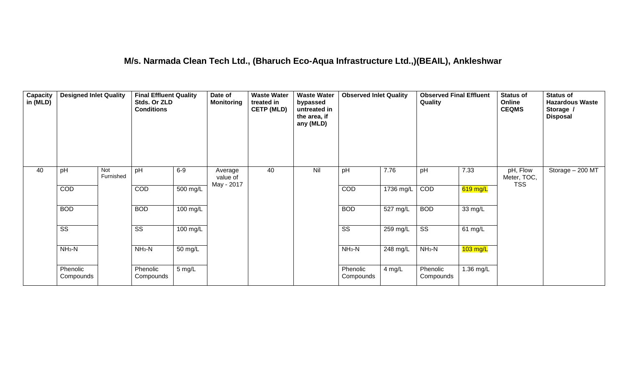#### **M/s. Narmada Clean Tech Ltd., (Bharuch Eco-Aqua Infrastructure Ltd.,)(BEAIL), Ankleshwar**

| Capacity<br>in (MLD) | <b>Designed Inlet Quality</b> |                  | <b>Final Effluent Quality</b><br>Stds. Or ZLD<br><b>Conditions</b> |                      | Date of<br><b>Monitoring</b>      | <b>Waste Water</b><br>treated in<br><b>CETP (MLD)</b> | <b>Waste Water</b><br>bypassed<br>untreated in<br>the area, if<br>any (MLD) | <b>Observed Inlet Quality</b> |                       | <b>Observed Final Effluent</b><br>Quality |            | Status of<br>Online<br><b>CEQMS</b>   | <b>Status of</b><br><b>Hazardous Waste</b><br>Storage /<br><b>Disposal</b> |
|----------------------|-------------------------------|------------------|--------------------------------------------------------------------|----------------------|-----------------------------------|-------------------------------------------------------|-----------------------------------------------------------------------------|-------------------------------|-----------------------|-------------------------------------------|------------|---------------------------------------|----------------------------------------------------------------------------|
| 40                   | pH                            | Not<br>Furnished | pH                                                                 | $6-9$                | Average<br>value of<br>May - 2017 | 40                                                    | Nil                                                                         | pH                            | 7.76                  | pH                                        | 7.33       | pH, Flow<br>Meter, TOC,<br><b>TSS</b> | Storage - 200 MT                                                           |
|                      | <b>COD</b>                    |                  | COD                                                                | $500$ mg/L           |                                   |                                                       |                                                                             | <b>COD</b>                    | 1736 mg/L             | COD                                       | $619$ mg/L |                                       |                                                                            |
|                      | <b>BOD</b>                    |                  | <b>BOD</b>                                                         | 100 mg/L             |                                   |                                                       |                                                                             | <b>BOD</b>                    | $\overline{527}$ mg/L | <b>BOD</b>                                | 33 mg/L    |                                       |                                                                            |
|                      | $\overline{\text{ss}}$        |                  | $\overline{\text{SS}}$                                             | 100 mg/L             |                                   |                                                       |                                                                             | $\overline{\text{ss}}$        | $259$ mg/L            | $\overline{\text{ss}}$                    | 61 mg/L    |                                       |                                                                            |
|                      | $NH3-N$                       |                  | $NH3-N$                                                            | $\overline{50}$ mg/L |                                   |                                                       |                                                                             | $NH3-N$                       | $248$ mg/L            | $NH3-N$                                   | $103$ mg/L |                                       |                                                                            |
|                      | Phenolic<br>Compounds         |                  | Phenolic<br>Compounds                                              | 5 mg/L               |                                   |                                                       |                                                                             | Phenolic<br>Compounds         | 4 mg/L                | Phenolic<br>Compounds                     | 1.36 mg/L  |                                       |                                                                            |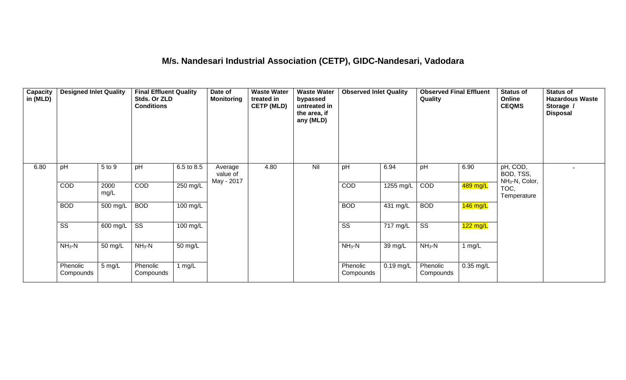## **M/s. Nandesari Industrial Association (CETP), GIDC-Nandesari, Vadodara**

| Capacity<br>in $(MLD)$ | <b>Designed Inlet Quality</b> |              | <b>Final Effluent Quality</b><br>Stds. Or ZLD<br><b>Conditions</b> |            | Date of<br><b>Monitoring</b>      | <b>Waste Water</b><br>treated in<br><b>CETP (MLD)</b> | <b>Waste Water</b><br>bypassed<br>untreated in<br>the area, if<br>any (MLD) | <b>Observed Inlet Quality</b> |             | <b>Observed Final Effluent</b><br>Quality |            | <b>Status of</b><br>Online<br><b>CEQMS</b>          | <b>Status of</b><br><b>Hazardous Waste</b><br>Storage /<br><b>Disposal</b> |
|------------------------|-------------------------------|--------------|--------------------------------------------------------------------|------------|-----------------------------------|-------------------------------------------------------|-----------------------------------------------------------------------------|-------------------------------|-------------|-------------------------------------------|------------|-----------------------------------------------------|----------------------------------------------------------------------------|
| 6.80                   | pH                            | 5 to 9       | pH                                                                 | 6.5 to 8.5 | Average<br>value of<br>May - 2017 | 4.80                                                  | Nil                                                                         | pH                            | 6.94        | pH                                        | 6.90       | pH, COD,<br>BOD, TSS,<br>NH <sub>3</sub> -N, Color, |                                                                            |
|                        | COD                           | 2000<br>mg/L | COD                                                                | 250 mg/L   |                                   |                                                       |                                                                             | COD                           | 1255 mg/L   | COD                                       | 489 mg/L   | TOC,<br>Temperature                                 |                                                                            |
|                        | <b>BOD</b>                    | 500 mg/L     | <b>BOD</b>                                                         | 100 mg/L   |                                   |                                                       |                                                                             | <b>BOD</b>                    | 431 mg/L    | <b>BOD</b>                                | $146$ mg/L |                                                     |                                                                            |
|                        | $\overline{\text{SS}}$        | 600 mg/L     | $\overline{\text{ss}}$                                             | 100 mg/L   |                                   |                                                       |                                                                             | $\overline{\text{SS}}$        | 717 mg/L    | $\overline{\text{ss}}$                    | $122$ mg/L |                                                     |                                                                            |
|                        | $NH3-N$                       | 50 mg/L      | $NH3-N$                                                            | 50 mg/L    |                                   |                                                       |                                                                             | $NH3-N$                       | 39 mg/L     | $NH3-N$                                   | 1 $mg/L$   |                                                     |                                                                            |
|                        | Phenolic<br>Compounds         | $5$ mg/L     | Phenolic<br>Compounds                                              | 1 $mg/L$   |                                   |                                                       |                                                                             | Phenolic<br>Compounds         | $0.19$ mg/L | Phenolic<br>Compounds                     | 0.35 mg/L  |                                                     |                                                                            |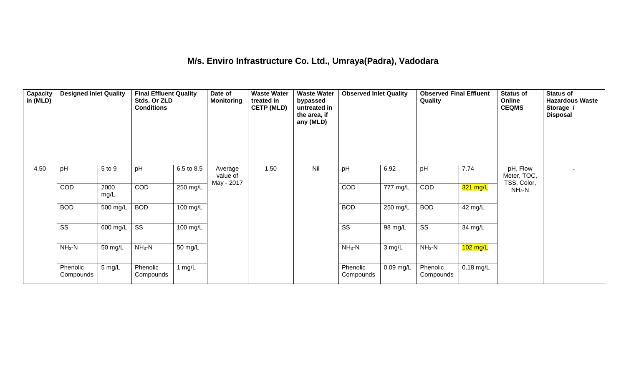### **M/s. Enviro Infrastructure Co. Ltd., Umraya(Padra), Vadodara**

| Capacity<br>in (MLD) | <b>Designed Inlet Quality</b> |              | <b>Final Effluent Quality</b><br>Stds. Or ZLD<br><b>Conditions</b> |                    | Date of<br><b>Monitoring</b>      | <b>Waste Water</b><br>treated in<br><b>CETP (MLD)</b> | <b>Waste Water</b><br>bypassed<br>untreated in<br>the area, if<br>any (MLD) | <b>Observed Inlet Quality</b> |             | <b>Observed Final Effluent</b><br>Quality |             | <b>Status of</b><br>Online<br><b>CEQMS</b> | <b>Status of</b><br><b>Hazardous Waste</b><br>Storage /<br><b>Disposal</b> |
|----------------------|-------------------------------|--------------|--------------------------------------------------------------------|--------------------|-----------------------------------|-------------------------------------------------------|-----------------------------------------------------------------------------|-------------------------------|-------------|-------------------------------------------|-------------|--------------------------------------------|----------------------------------------------------------------------------|
| 4.50                 | pH                            | 5 to 9       | pH                                                                 | 6.5 to 8.5         | Average<br>value of<br>May - 2017 | 1.50                                                  | Nil                                                                         | pH                            | 6.92        | pH                                        | 7.74        | pH, Flow<br>Meter, TOC,<br>TSS, Color,     |                                                                            |
|                      | COD                           | 2000<br>mg/L | COD                                                                | 250 mg/L           |                                   |                                                       |                                                                             | COD                           | 777 mg/L    | COD                                       | 321 mg/L    | $NH3-N$                                    |                                                                            |
|                      | <b>BOD</b>                    | 500 mg/L     | <b>BOD</b>                                                         | $100 \text{ mg/L}$ |                                   |                                                       |                                                                             | <b>BOD</b>                    | 250 mg/L    | <b>BOD</b>                                | 42 mg/L     |                                            |                                                                            |
|                      | $\overline{\text{ss}}$        | 600 mg/L     | $\overline{\text{ss}}$                                             | 100 mg/L           |                                   |                                                       |                                                                             | $\overline{\text{ss}}$        | 98 mg/L     | $\overline{\text{ss}}$                    | 34 mg/L     |                                            |                                                                            |
|                      | $NH3-N$                       | 50 mg/L      | $NH3-N$                                                            | 50 mg/L            |                                   |                                                       |                                                                             | $NH3-N$                       | 3 mg/L      | $NH3-N$                                   | $102$ mg/L  |                                            |                                                                            |
|                      | Phenolic<br>Compounds         | 5 mg/L       | Phenolic<br>Compounds                                              | 1 $mg/L$           |                                   |                                                       |                                                                             | Phenolic<br>Compounds         | $0.09$ mg/L | Phenolic<br>Compounds                     | $0.18$ mg/L |                                            |                                                                            |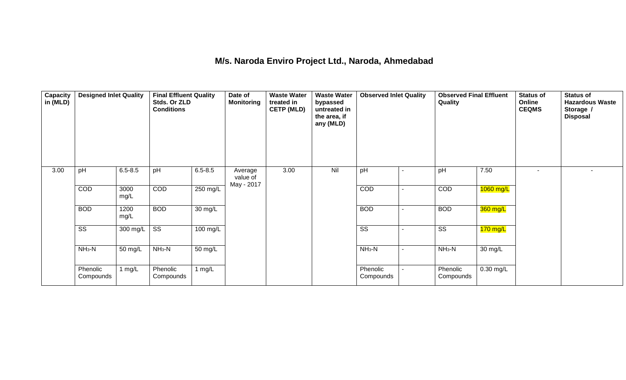#### **M/s. Naroda Enviro Project Ltd., Naroda, Ahmedabad**

| <b>Capacity</b><br>in (MLD) | <b>Designed Inlet Quality</b> |              | <b>Final Effluent Quality</b><br>Stds. Or ZLD<br><b>Conditions</b> |                    | Date of<br><b>Monitoring</b>      | <b>Waste Water</b><br>treated in<br><b>CETP (MLD)</b> | <b>Waste Water</b><br>bypassed<br>untreated in<br>the area, if<br>any (MLD) | <b>Observed Inlet Quality</b> |                          | <b>Observed Final Effluent</b><br>Quality |             | <b>Status of</b><br>Online<br><b>CEQMS</b> | <b>Status of</b><br><b>Hazardous Waste</b><br>Storage /<br><b>Disposal</b> |
|-----------------------------|-------------------------------|--------------|--------------------------------------------------------------------|--------------------|-----------------------------------|-------------------------------------------------------|-----------------------------------------------------------------------------|-------------------------------|--------------------------|-------------------------------------------|-------------|--------------------------------------------|----------------------------------------------------------------------------|
| 3.00                        | pH                            | $6.5 - 8.5$  | pH                                                                 | $6.5 - 8.5$        | Average<br>value of<br>May - 2017 | 3.00                                                  | Nil                                                                         | pH                            |                          | pH                                        | 7.50        |                                            |                                                                            |
|                             | COD                           | 3000<br>mg/L | COD                                                                | 250 mg/L           |                                   |                                                       |                                                                             | COD                           |                          | COD                                       | 1060 mg/L   |                                            |                                                                            |
|                             | <b>BOD</b>                    | 1200<br>mg/L | <b>BOD</b>                                                         | 30 mg/L            |                                   |                                                       |                                                                             | <b>BOD</b>                    |                          | <b>BOD</b>                                | 360 mg/L    |                                            |                                                                            |
|                             | $\overline{\text{ss}}$        | 300 mg/L     | $\overline{\text{ss}}$                                             | $100 \text{ mg/L}$ |                                   |                                                       |                                                                             | $\overline{\text{ss}}$        | $\overline{\phantom{0}}$ | $\overline{\text{ss}}$                    | $170$ mg/L  |                                            |                                                                            |
|                             | $NH3-N$                       | 50 mg/L      | $NH3-N$                                                            | 50 mg/L            |                                   |                                                       |                                                                             | $NH3-N$                       | $\sim$                   | $NH3-N$                                   | 30 mg/L     |                                            |                                                                            |
|                             | Phenolic<br>Compounds         | 1 mg/L       | Phenolic<br>Compounds                                              | 1 $mg/L$           |                                   |                                                       |                                                                             | Phenolic<br>Compounds         |                          | Phenolic<br>Compounds                     | $0.30$ mg/L |                                            |                                                                            |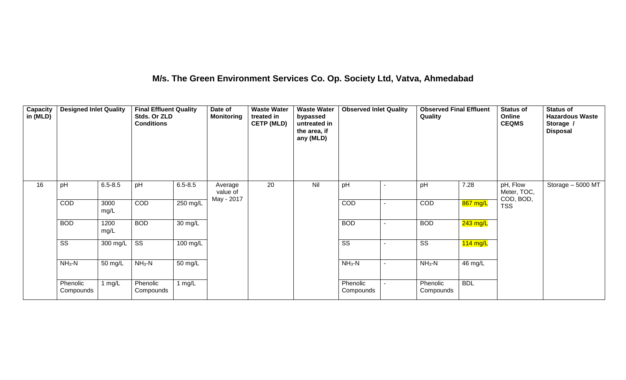### **M/s. The Green Environment Services Co. Op. Society Ltd, Vatva, Ahmedabad**

| Capacity<br>in (MLD) | <b>Designed Inlet Quality</b> |              | <b>Final Effluent Quality</b><br>Stds. Or ZLD<br><b>Conditions</b> |                      | Date of<br><b>Monitoring</b>      | <b>Waste Water</b><br>treated in<br><b>CETP (MLD)</b> | <b>Waste Water</b><br>bypassed<br>untreated in<br>the area, if<br>any (MLD) | <b>Observed Inlet Quality</b> |                | <b>Observed Final Effluent</b><br>Quality |                    | <b>Status of</b><br>Online<br><b>CEQMS</b> | <b>Status of</b><br><b>Hazardous Waste</b><br>Storage /<br><b>Disposal</b> |
|----------------------|-------------------------------|--------------|--------------------------------------------------------------------|----------------------|-----------------------------------|-------------------------------------------------------|-----------------------------------------------------------------------------|-------------------------------|----------------|-------------------------------------------|--------------------|--------------------------------------------|----------------------------------------------------------------------------|
| 16                   | pH                            | $6.5 - 8.5$  | pH                                                                 | $6.5 - 8.5$          | Average<br>value of<br>May - 2017 | 20                                                    | Nil                                                                         | pH                            |                | pH                                        | 7.28               | pH, Flow<br>Meter, TOC,<br>COD, BOD,       | Storage - 5000 MT                                                          |
|                      | COD                           | 3000<br>mg/L | <b>COD</b>                                                         | $250$ mg/L           |                                   |                                                       |                                                                             | COD                           | $\blacksquare$ | COD                                       | 867 mg/L           | <b>TSS</b>                                 |                                                                            |
|                      | <b>BOD</b>                    | 1200<br>mg/L | <b>BOD</b>                                                         | $\overline{30}$ mg/L |                                   |                                                       |                                                                             | <b>BOD</b>                    |                | <b>BOD</b>                                | $243$ mg/L         |                                            |                                                                            |
|                      | $\overline{\text{ss}}$        | 300 mg/L     | $\overline{\text{ss}}$                                             | $100 \text{ mg/L}$   |                                   |                                                       |                                                                             | $\overline{\text{ss}}$        |                | $\overline{\text{ss}}$                    | $114 \text{ mg/L}$ |                                            |                                                                            |
|                      | $NH3-N$                       | 50 mg/L      | $NH3-N$                                                            | 50 mg/L              |                                   |                                                       |                                                                             | $NH3-N$                       | $\blacksquare$ | $NH_3-N$                                  | 46 mg/L            |                                            |                                                                            |
|                      | Phenolic<br>Compounds         | 1 mg/L       | Phenolic<br>Compounds                                              | 1 $mg/L$             |                                   |                                                       |                                                                             | Phenolic<br>Compounds         |                | Phenolic<br>Compounds                     | <b>BDL</b>         |                                            |                                                                            |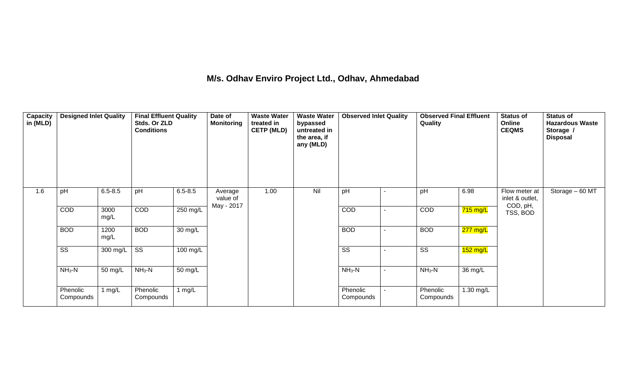### **M/s. Odhav Enviro Project Ltd., Odhav, Ahmedabad**

| Capacity<br>in (MLD) | <b>Designed Inlet Quality</b> |              | <b>Final Effluent Quality</b><br>Stds. Or ZLD<br><b>Conditions</b> |             | Date of<br>Monitoring | <b>Waste Water</b><br>treated in<br><b>CETP (MLD)</b> | <b>Waste Water</b><br>bypassed<br>untreated in<br>the area, if<br>any (MLD) | <b>Observed Inlet Quality</b> |                          | <b>Observed Final Effluent</b><br>Quality |            | <b>Status of</b><br>Online<br><b>CEQMS</b> | <b>Status of</b><br><b>Hazardous Waste</b><br>Storage /<br><b>Disposal</b> |
|----------------------|-------------------------------|--------------|--------------------------------------------------------------------|-------------|-----------------------|-------------------------------------------------------|-----------------------------------------------------------------------------|-------------------------------|--------------------------|-------------------------------------------|------------|--------------------------------------------|----------------------------------------------------------------------------|
| 1.6                  | pH                            | $6.5 - 8.5$  | pH                                                                 | $6.5 - 8.5$ | Average<br>value of   | 1.00                                                  | Nil                                                                         | pH                            | $\blacksquare$           | pH                                        | 6.98       | Flow meter at<br>inlet & outlet,           | Storage - 60 MT                                                            |
|                      | COD                           | 3000<br>mg/L | COD                                                                | 250 mg/L    | May - 2017            |                                                       |                                                                             | COD                           | $\blacksquare$           | COD                                       | 715 mg/L   | COD, pH,<br>TSS, BOD                       |                                                                            |
|                      | <b>BOD</b>                    | 1200<br>mg/L | <b>BOD</b>                                                         | 30 mg/L     |                       |                                                       |                                                                             | <b>BOD</b>                    | $\overline{\phantom{a}}$ | <b>BOD</b>                                | 277 mg/L   |                                            |                                                                            |
|                      | $\overline{\text{SS}}$        | 300 mg/L     | $\overline{\text{ss}}$                                             | 100 mg/L    |                       |                                                       |                                                                             | $\overline{\text{ss}}$        | $\blacksquare$           | $\overline{\text{ss}}$                    | $152$ mg/L |                                            |                                                                            |
|                      | $NH3-N$                       | 50 mg/L      | $NH3-N$                                                            | 50 mg/L     |                       |                                                       |                                                                             | $NH3-N$                       | $\blacksquare$           | $NH3-N$                                   | 36 mg/L    |                                            |                                                                            |
|                      | Phenolic<br>Compounds         | 1 $mg/L$     | Phenolic<br>Compounds                                              | 1 $mg/L$    |                       |                                                       |                                                                             | Phenolic<br>Compounds         |                          | Phenolic<br>Compounds                     | 1.30 mg/L  |                                            |                                                                            |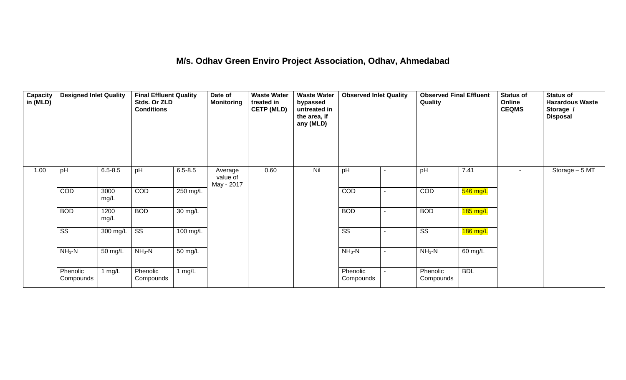#### **M/s. Odhav Green Enviro Project Association, Odhav, Ahmedabad**

| <b>Capacity</b><br>in (MLD) | <b>Designed Inlet Quality</b> |              | <b>Final Effluent Quality</b><br>Stds. Or ZLD<br><b>Conditions</b> |             | Date of<br><b>Monitoring</b>      | <b>Waste Water</b><br>treated in<br><b>CETP (MLD)</b> | <b>Waste Water</b><br>bypassed<br>untreated in<br>the area, if<br>any (MLD) | <b>Observed Inlet Quality</b> |                          | <b>Observed Final Effluent</b><br>Quality |            | <b>Status of</b><br>Online<br><b>CEQMS</b> | <b>Status of</b><br><b>Hazardous Waste</b><br>Storage /<br><b>Disposal</b> |
|-----------------------------|-------------------------------|--------------|--------------------------------------------------------------------|-------------|-----------------------------------|-------------------------------------------------------|-----------------------------------------------------------------------------|-------------------------------|--------------------------|-------------------------------------------|------------|--------------------------------------------|----------------------------------------------------------------------------|
| 1.00                        | pH                            | $6.5 - 8.5$  | pH                                                                 | $6.5 - 8.5$ | Average<br>value of<br>May - 2017 | 0.60                                                  | Nil                                                                         | pH                            |                          | pH                                        | 7.41       |                                            | Storage - 5 MT                                                             |
|                             | COD                           | 3000<br>mg/L | COD                                                                | 250 mg/L    |                                   |                                                       |                                                                             | COD                           |                          | COD                                       | 546 mg/L   |                                            |                                                                            |
|                             | <b>BOD</b>                    | 1200<br>mg/L | <b>BOD</b>                                                         | 30 mg/L     |                                   |                                                       |                                                                             | <b>BOD</b>                    |                          | <b>BOD</b>                                | $185$ mg/L |                                            |                                                                            |
|                             | $\overline{\text{ss}}$        | 300 mg/L     | SS                                                                 | 100 mg/L    |                                   |                                                       |                                                                             | SS                            | $\overline{\phantom{0}}$ | SS                                        | 186 mg/L   |                                            |                                                                            |
|                             | $NH3-N$                       | 50 mg/L      | $NH3-N$                                                            | 50 mg/L     |                                   |                                                       |                                                                             | $NH_3-N$                      | $\blacksquare$           | $NH3-N$                                   | 60 mg/L    |                                            |                                                                            |
|                             | Phenolic<br>Compounds         | 1 $mg/L$     | Phenolic<br>Compounds                                              | 1 $mg/L$    |                                   |                                                       |                                                                             | Phenolic<br>Compounds         |                          | Phenolic<br>Compounds                     | <b>BDL</b> |                                            |                                                                            |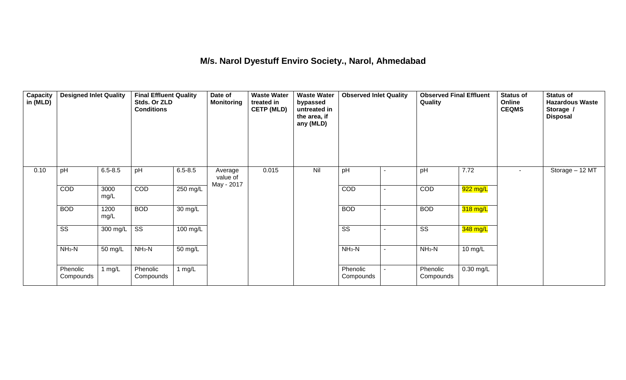#### **M/s. Narol Dyestuff Enviro Society., Narol, Ahmedabad**

| Capacity<br>in (MLD) | <b>Designed Inlet Quality</b> |                  | <b>Final Effluent Quality</b><br>Stds. Or ZLD<br><b>Conditions</b> |             | Date of<br><b>Monitoring</b>      | <b>Waste Water</b><br>treated in<br><b>CETP (MLD)</b> | <b>Waste Water</b><br>bypassed<br>untreated in<br>the area, if<br>any (MLD) | <b>Observed Inlet Quality</b> |                | <b>Observed Final Effluent</b><br>Quality |                    | <b>Status of</b><br>Online<br><b>CEQMS</b> | <b>Status of</b><br><b>Hazardous Waste</b><br>Storage /<br><b>Disposal</b> |
|----------------------|-------------------------------|------------------|--------------------------------------------------------------------|-------------|-----------------------------------|-------------------------------------------------------|-----------------------------------------------------------------------------|-------------------------------|----------------|-------------------------------------------|--------------------|--------------------------------------------|----------------------------------------------------------------------------|
| 0.10                 | pH                            | $6.5 - 8.5$      | pH                                                                 | $6.5 - 8.5$ | Average<br>value of<br>May - 2017 | 0.015                                                 | Nil                                                                         | pH                            | $\blacksquare$ | pH                                        | 7.72               | $\sim$                                     | Storage - 12 MT                                                            |
|                      | COD                           | 3000<br>mg/L     | COD                                                                | 250 mg/L    |                                   |                                                       |                                                                             | COD                           | $\blacksquare$ | COD                                       | $922$ mg/L         |                                            |                                                                            |
|                      | <b>BOD</b>                    | 1200<br>mg/L     | <b>BOD</b>                                                         | 30 mg/L     |                                   |                                                       |                                                                             | <b>BOD</b>                    | -              | <b>BOD</b>                                | $318 \text{ mg/L}$ |                                            |                                                                            |
|                      | $\overline{\text{ss}}$        | 300 mg/L $\vert$ | $\overline{\text{ss}}$                                             | 100 mg/L    |                                   |                                                       |                                                                             | $\overline{\text{ss}}$        | $\blacksquare$ | $\overline{\text{ss}}$                    | 348 mg/L           |                                            |                                                                            |
|                      | $NH3-N$                       | 50 mg/L          | $NH3-N$                                                            | 50 mg/L     |                                   |                                                       |                                                                             | $NH3-N$                       | -              | $NH3-N$                                   | 10 mg/L            |                                            |                                                                            |
|                      | Phenolic<br>Compounds         | 1 $mg/L$         | Phenolic<br>Compounds                                              | 1 $mg/L$    |                                   |                                                       |                                                                             | Phenolic<br>Compounds         |                | Phenolic<br>Compounds                     | 0.30 mg/L          |                                            |                                                                            |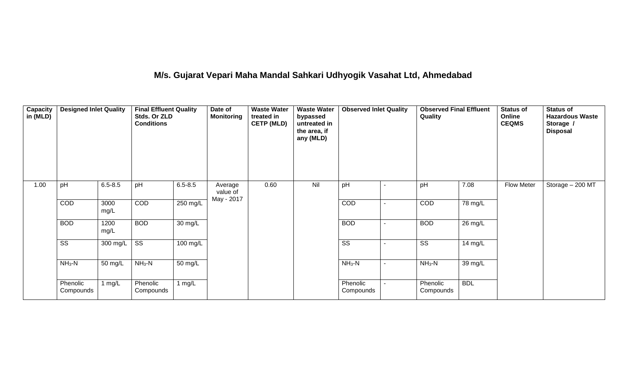# **M/s. Gujarat Vepari Maha Mandal Sahkari Udhyogik Vasahat Ltd, Ahmedabad**

| <b>Capacity</b><br>in (MLD) | <b>Designed Inlet Quality</b> |              | <b>Final Effluent Quality</b><br>Stds. Or ZLD<br><b>Conditions</b> |                      | Date of<br><b>Monitoring</b>      | <b>Waste Water</b><br>treated in<br><b>CETP (MLD)</b> | <b>Waste Water</b><br>bypassed<br>untreated in<br>the area, if<br>any (MLD) | <b>Observed Inlet Quality</b> | <b>Observed Final Effluent</b><br>Quality |                   | <b>Status of</b><br>Online<br><b>CEQMS</b> | <b>Status of</b><br><b>Hazardous Waste</b><br>Storage /<br><b>Disposal</b> |
|-----------------------------|-------------------------------|--------------|--------------------------------------------------------------------|----------------------|-----------------------------------|-------------------------------------------------------|-----------------------------------------------------------------------------|-------------------------------|-------------------------------------------|-------------------|--------------------------------------------|----------------------------------------------------------------------------|
| 1.00                        | pH                            | $6.5 - 8.5$  | pH                                                                 | $6.5 - 8.5$          | Average<br>value of<br>May - 2017 | 0.60                                                  | Nil                                                                         | pH                            | pH                                        | 7.08              | Flow Meter                                 | Storage - 200 MT                                                           |
|                             | COD                           | 3000<br>mg/L | COD                                                                | $250$ mg/L           |                                   |                                                       |                                                                             | COD                           | COD                                       | 78 mg/L           |                                            |                                                                            |
|                             | <b>BOD</b>                    | 1200<br>mg/L | <b>BOD</b>                                                         | $\overline{30}$ mg/L |                                   |                                                       |                                                                             | <b>BOD</b>                    | <b>BOD</b>                                | 26 mg/L           |                                            |                                                                            |
|                             | $\overline{\text{ss}}$        | 300 mg/L     | $\overline{\text{ss}}$                                             | 100 mg/L             |                                   |                                                       |                                                                             | $\overline{\text{ss}}$        | $\overline{\text{SS}}$                    | $14 \text{ mg/L}$ |                                            |                                                                            |
|                             | $NH3-N$                       | 50 mg/L      | $NH3-N$                                                            | 50 mg/L              |                                   |                                                       |                                                                             | $NH3-N$                       | $NH3-N$                                   | 39 mg/L           |                                            |                                                                            |
|                             | Phenolic<br>Compounds         | mg/L         | Phenolic<br>Compounds                                              | 1 $mg/L$             |                                   |                                                       |                                                                             | Phenolic<br>Compounds         | Phenolic<br>Compounds                     | <b>BDL</b>        |                                            |                                                                            |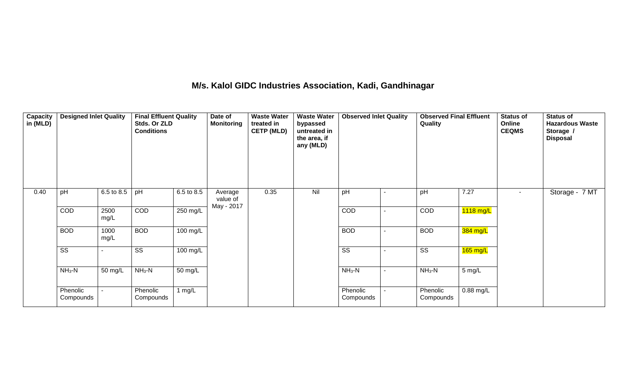### **M/s. Kalol GIDC Industries Association, Kadi, Gandhinagar**

| Capacity<br>in (MLD) | <b>Designed Inlet Quality</b> |              | <b>Final Effluent Quality</b><br>Stds. Or ZLD<br><b>Conditions</b> |            | Date of<br><b>Monitoring</b> | <b>Waste Water</b><br>treated in<br><b>CETP (MLD)</b> | <b>Waste Water</b><br>bypassed<br>untreated in<br>the area, if<br>any (MLD) | <b>Observed Inlet Quality</b> |                | <b>Observed Final Effluent</b><br>Quality |             | <b>Status of</b><br>Online<br><b>CEQMS</b> | <b>Status of</b><br><b>Hazardous Waste</b><br>Storage /<br><b>Disposal</b> |
|----------------------|-------------------------------|--------------|--------------------------------------------------------------------|------------|------------------------------|-------------------------------------------------------|-----------------------------------------------------------------------------|-------------------------------|----------------|-------------------------------------------|-------------|--------------------------------------------|----------------------------------------------------------------------------|
| 0.40                 | pH                            | 6.5 to 8.5   | pH                                                                 | 6.5 to 8.5 | Average<br>value of          | 0.35                                                  | Nil                                                                         | pH                            |                | pH                                        | 7.27        |                                            | Storage - 7 MT                                                             |
|                      | COD                           | 2500<br>mg/L | COD                                                                | 250 mg/L   | May - 2017                   |                                                       |                                                                             | COD                           |                | COD                                       | $1118$ mg/L |                                            |                                                                            |
|                      | <b>BOD</b>                    | 1000<br>mg/L | <b>BOD</b>                                                         | 100 mg/L   |                              |                                                       |                                                                             | <b>BOD</b>                    |                | <b>BOD</b>                                | 384 mg/L    |                                            |                                                                            |
|                      | SS                            |              | SS                                                                 | 100 mg/L   |                              |                                                       |                                                                             | SS                            |                | SS                                        | $165$ mg/L  |                                            |                                                                            |
|                      | $NH3-N$                       | 50 mg/L      | $NH3-N$                                                            | 50 mg/L    |                              |                                                       |                                                                             | $NH_3-N$                      | $\blacksquare$ | $NH_3-N$                                  | 5 mg/L      |                                            |                                                                            |
|                      | Phenolic<br>Compounds         |              | Phenolic<br>Compounds                                              | 1 $mg/L$   |                              |                                                       |                                                                             | Phenolic<br>Compounds         | $\blacksquare$ | Phenolic<br>Compounds                     | 0.88 mg/L   |                                            |                                                                            |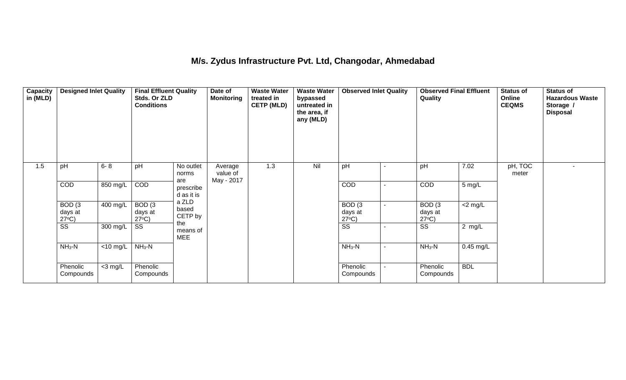### **M/s. Zydus Infrastructure Pvt. Ltd, Changodar, Ahmedabad**

| Capacity<br>in (MLD) | <b>Designed Inlet Quality</b>                   |             | <b>Final Effluent Quality</b><br>Stds. Or ZLD<br><b>Conditions</b> |                                | Date of<br><b>Monitoring</b> | <b>Waste Water</b><br>treated in<br><b>CETP (MLD)</b> | <b>Waste Water</b><br>bypassed<br>untreated in<br>the area, if<br>any (MLD) | <b>Observed Inlet Quality</b>        |                | <b>Observed Final Effluent</b><br>Quality       |            | <b>Status of</b><br>Online<br><b>CEQMS</b> | <b>Status of</b><br><b>Hazardous Waste</b><br>Storage /<br><b>Disposal</b> |
|----------------------|-------------------------------------------------|-------------|--------------------------------------------------------------------|--------------------------------|------------------------------|-------------------------------------------------------|-----------------------------------------------------------------------------|--------------------------------------|----------------|-------------------------------------------------|------------|--------------------------------------------|----------------------------------------------------------------------------|
| 1.5                  | pH                                              | $6 - 8$     | pH                                                                 | No outlet<br>norms             | Average<br>value of          | 1.3                                                   | Nil                                                                         | pH                                   | ۰              | pH                                              | 7.02       | pH, TOC<br>meter                           | $\overline{\phantom{a}}$                                                   |
|                      | COD                                             | 850 mg/L    | COD                                                                | are<br>prescribe<br>d as it is | May - 2017                   |                                                       |                                                                             | COD                                  | $\blacksquare$ | COD                                             | 5 mg/L     |                                            |                                                                            |
|                      | BOD <sub>(3</sub><br>days at<br>$27^{\circ}C$ ) | 400 mg/L    | BOD(3)<br>days at<br>$27^{\circ}C$ )                               | a ZLD<br>based<br>CETP by      |                              |                                                       |                                                                             | BOD(3)<br>days at<br>$27^{\circ}C$ ) | ۰.             | BOD <sub>(3</sub><br>days at<br>$27^{\circ}C$ ) | $<$ 2 mg/L |                                            |                                                                            |
|                      | SS                                              | 300 mg/L    | SS                                                                 | the<br>means of<br><b>MEE</b>  |                              |                                                       |                                                                             | $\overline{\text{ss}}$               | $\blacksquare$ | SS                                              | 2 mg/L     |                                            |                                                                            |
|                      | $NH3-N$                                         | $<$ 10 mg/L | $NH3-N$                                                            |                                |                              |                                                       |                                                                             | $NH_3-N$                             | $\blacksquare$ | $NH_3-N$                                        | 0.45 mg/L  |                                            |                                                                            |
|                      | Phenolic<br>Compounds                           | $<$ 3 mg/L  | Phenolic<br>Compounds                                              |                                |                              |                                                       |                                                                             | Phenolic<br>Compounds                |                | Phenolic<br>Compounds                           | <b>BDL</b> |                                            |                                                                            |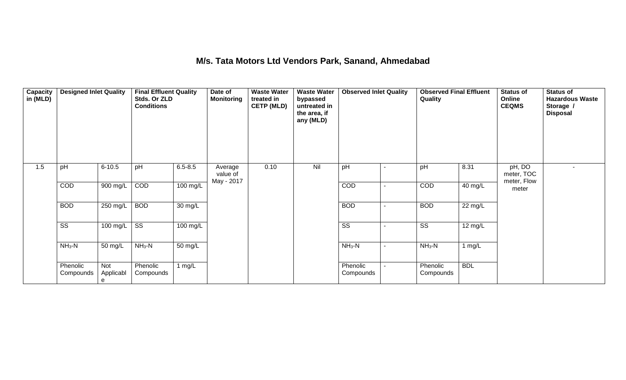### **M/s. Tata Motors Ltd Vendors Park, Sanand, Ahmedabad**

| Capacity<br>in (MLD) | <b>Designed Inlet Quality</b> |                       | <b>Final Effluent Quality</b><br>Stds. Or ZLD<br><b>Conditions</b> |                      | Date of<br><b>Monitoring</b> | <b>Waste Water</b><br>treated in<br><b>CETP (MLD)</b> | <b>Waste Water</b><br>bypassed<br>untreated in<br>the area, if<br>any (MLD) | <b>Observed Inlet Quality</b> |                          | <b>Observed Final Effluent</b><br>Quality |            | <b>Status of</b><br>Online<br><b>CEQMS</b> | <b>Status of</b><br><b>Hazardous Waste</b><br>Storage /<br><b>Disposal</b> |
|----------------------|-------------------------------|-----------------------|--------------------------------------------------------------------|----------------------|------------------------------|-------------------------------------------------------|-----------------------------------------------------------------------------|-------------------------------|--------------------------|-------------------------------------------|------------|--------------------------------------------|----------------------------------------------------------------------------|
| 1.5                  | pH                            | $6 - 10.5$            | pH                                                                 | $6.5 - 8.5$          | Average<br>value of          | 0.10                                                  | Nil                                                                         | pH                            | $\blacksquare$           | pH                                        | 8.31       | pH, DO<br>meter, TOC                       | $\overline{\phantom{a}}$                                                   |
|                      | COD                           | 900 mg/L              | COD                                                                | $100$ mg/L           | May - 2017                   |                                                       |                                                                             | COD                           | $\blacksquare$           | COD                                       | 40 mg/L    | meter, Flow<br>meter                       |                                                                            |
|                      | <b>BOD</b>                    | 250 mg/L              | <b>BOD</b>                                                         | $\overline{30}$ mg/L |                              |                                                       |                                                                             | <b>BOD</b>                    | ٠                        | <b>BOD</b>                                | 22 mg/L    |                                            |                                                                            |
|                      | $\overline{\text{ss}}$        | 100 mg/L              | $\overline{\text{ss}}$                                             | 100 mg/L             |                              |                                                       |                                                                             | $\overline{\text{SS}}$        |                          | SS                                        | 12 mg/L    |                                            |                                                                            |
|                      | $NH3-N$                       | 50 mg/L               | $NH3-N$                                                            | 50 mg/L              |                              |                                                       |                                                                             | $NH_3-N$                      | $\blacksquare$           | $NH3-N$                                   | 1 $mg/L$   |                                            |                                                                            |
|                      | Phenolic<br>Compounds         | Not<br>Applicabl<br>e | Phenolic<br>Compounds                                              | 1 $mg/L$             |                              |                                                       |                                                                             | Phenolic<br>Compounds         | $\overline{\phantom{0}}$ | Phenolic<br>Compounds                     | <b>BDL</b> |                                            |                                                                            |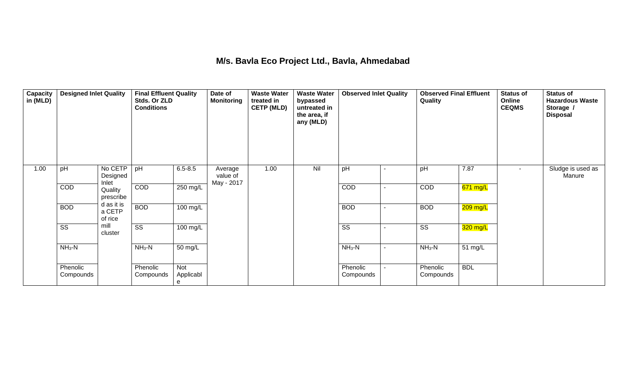### **M/s. Bavla Eco Project Ltd., Bavla, Ahmedabad**

| Capacity<br>in (MLD) | <b>Designed Inlet Quality</b> |                                 | <b>Final Effluent Quality</b><br>Stds. Or ZLD<br><b>Conditions</b> |                       | Date of<br><b>Monitoring</b>      | <b>Waste Water</b><br>treated in<br><b>CETP (MLD)</b> | <b>Waste Water</b><br>bypassed<br>untreated in<br>the area, if<br>any (MLD) | <b>Observed Inlet Quality</b> |                          | <b>Observed Final Effluent</b><br>Quality |            | <b>Status of</b><br>Online<br><b>CEQMS</b> | <b>Status of</b><br><b>Hazardous Waste</b><br>Storage /<br><b>Disposal</b> |
|----------------------|-------------------------------|---------------------------------|--------------------------------------------------------------------|-----------------------|-----------------------------------|-------------------------------------------------------|-----------------------------------------------------------------------------|-------------------------------|--------------------------|-------------------------------------------|------------|--------------------------------------------|----------------------------------------------------------------------------|
| 1.00                 | pH                            | No CETP<br>Designed<br>Inlet    | pH                                                                 | $6.5 - 8.5$           | Average<br>value of<br>May - 2017 | 1.00                                                  | Nil                                                                         | pH                            | $\blacksquare$           | pH                                        | 7.87       | $\sim$                                     | Sludge is used as<br>Manure                                                |
|                      | COD                           | Quality<br>prescribe            | COD                                                                | 250 mg/L              |                                   |                                                       |                                                                             | COD                           | $\mathbf{r}$             | COD                                       | 671 mg/L   |                                            |                                                                            |
|                      | <b>BOD</b>                    | d as it is<br>a CETP<br>of rice | <b>BOD</b>                                                         | $100$ mg/L            |                                   |                                                       |                                                                             | <b>BOD</b>                    | $\blacksquare$           | <b>BOD</b>                                | 209 mg/L   |                                            |                                                                            |
|                      | $\overline{\text{SS}}$        | mill<br>cluster                 | $\overline{\text{ss}}$                                             | $100$ mg/L            |                                   |                                                       |                                                                             | $\overline{\text{ss}}$        | $\overline{\phantom{a}}$ | $\overline{\text{SS}}$                    | 320 mg/L   |                                            |                                                                            |
|                      | $NH3-N$                       |                                 | $NH3-N$                                                            | 50 mg/L               |                                   |                                                       |                                                                             | $NH3-N$                       | $\sim$                   | $NH_3-N$                                  | 51 mg/L    |                                            |                                                                            |
|                      | Phenolic<br>Compounds         |                                 | Phenolic<br>Compounds                                              | Not<br>Applicabl<br>e |                                   |                                                       |                                                                             | Phenolic<br>Compounds         | $\blacksquare$           | Phenolic<br>Compounds                     | <b>BDL</b> |                                            |                                                                            |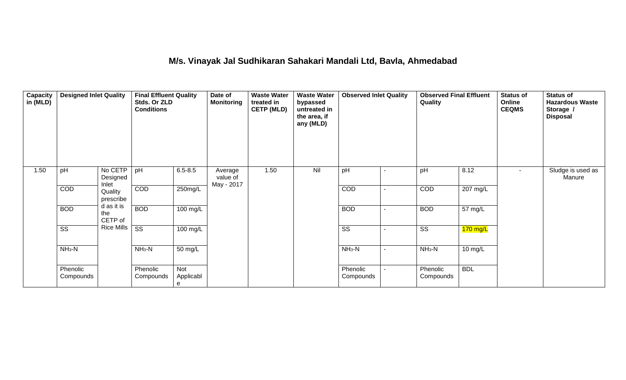### **M/s. Vinayak Jal Sudhikaran Sahakari Mandali Ltd, Bavla, Ahmedabad**

| Capacity<br>in (MLD) | <b>Designed Inlet Quality</b> |                              | <b>Final Effluent Quality</b><br>Stds. Or ZLD<br><b>Conditions</b> |                       | Date of<br><b>Monitoring</b>      | <b>Waste Water</b><br>treated in<br><b>CETP (MLD)</b> | <b>Waste Water</b><br>bypassed<br>untreated in<br>the area, if<br>any (MLD) | <b>Observed Inlet Quality</b> |                | <b>Observed Final Effluent</b><br>Quality |            | <b>Status of</b><br>Online<br><b>CEQMS</b> | <b>Status of</b><br><b>Hazardous Waste</b><br>Storage /<br><b>Disposal</b> |
|----------------------|-------------------------------|------------------------------|--------------------------------------------------------------------|-----------------------|-----------------------------------|-------------------------------------------------------|-----------------------------------------------------------------------------|-------------------------------|----------------|-------------------------------------------|------------|--------------------------------------------|----------------------------------------------------------------------------|
| 1.50                 | pH                            | No CETP<br>Designed<br>Inlet | pH                                                                 | $6.5 - 8.5$           | Average<br>value of<br>May - 2017 | 1.50                                                  | Nil                                                                         | pH                            | $\blacksquare$ | pH                                        | 8.12       | $\sim$                                     | Sludge is used as<br>Manure                                                |
|                      | <b>COD</b>                    | Quality<br>prescribe         | COD                                                                | 250mg/L               |                                   |                                                       |                                                                             | COD                           | $\blacksquare$ | COD                                       | 207 mg/L   |                                            |                                                                            |
|                      | <b>BOD</b>                    | d as it is<br>the<br>CETP of | <b>BOD</b>                                                         | 100 mg/L              |                                   |                                                       |                                                                             | <b>BOD</b>                    | $\blacksquare$ | <b>BOD</b>                                | 57 mg/L    |                                            |                                                                            |
|                      | $\overline{\text{SS}}$        | <b>Rice Mills</b>            | $\overline{\text{ss}}$                                             | 100 mg/L              |                                   |                                                       |                                                                             | $\overline{\text{SS}}$        | $\blacksquare$ | $\overline{\text{SS}}$                    | $170$ mg/L |                                            |                                                                            |
|                      | $NH3-N$                       |                              | $NH3-N$                                                            | 50 mg/L               |                                   |                                                       |                                                                             | $NH3-N$                       | $\blacksquare$ | $NH3-N$                                   | 10 mg/L    |                                            |                                                                            |
|                      | Phenolic<br>Compounds         |                              | Phenolic<br>Compounds                                              | Not<br>Applicabl<br>e |                                   |                                                       |                                                                             | Phenolic<br>Compounds         |                | Phenolic<br>Compounds                     | <b>BDL</b> |                                            |                                                                            |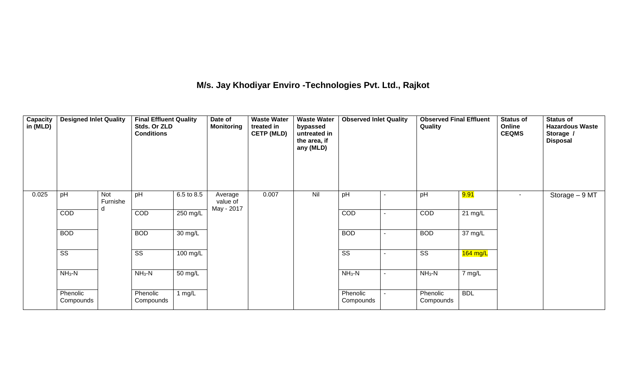## **M/s. Jay Khodiyar Enviro -Technologies Pvt. Ltd., Rajkot**

| Capacity<br>in (MLD) | <b>Designed Inlet Quality</b> |                 | <b>Final Effluent Quality</b><br>Stds. Or ZLD<br><b>Conditions</b> |            | Date of<br><b>Monitoring</b> | <b>Waste Water</b><br>treated in<br><b>CETP (MLD)</b> | <b>Waste Water</b><br>bypassed<br>untreated in<br>the area, if<br>any (MLD) | <b>Observed Inlet Quality</b> |                | Quality                |                   | <b>Status of</b><br>Online<br><b>CEQMS</b> | <b>Status of</b><br><b>Hazardous Waste</b><br>Storage /<br><b>Disposal</b> |
|----------------------|-------------------------------|-----------------|--------------------------------------------------------------------|------------|------------------------------|-------------------------------------------------------|-----------------------------------------------------------------------------|-------------------------------|----------------|------------------------|-------------------|--------------------------------------------|----------------------------------------------------------------------------|
| 0.025                | pH                            | Not<br>Furnishe | pH                                                                 | 6.5 to 8.5 | Average<br>value of          | 0.007                                                 | Nil                                                                         | pH                            |                | pH                     | <mark>9.91</mark> | $\blacksquare$                             | Storage - 9 MT                                                             |
|                      | COD                           |                 | COD                                                                | 250 mg/L   | May - 2017                   |                                                       |                                                                             | COD                           | $\blacksquare$ | COD                    | $21 \text{ mg/L}$ |                                            |                                                                            |
|                      | <b>BOD</b>                    |                 | <b>BOD</b>                                                         | 30 mg/L    |                              |                                                       |                                                                             | <b>BOD</b>                    |                | <b>BOD</b>             | 37 mg/L           |                                            |                                                                            |
|                      | $\overline{\text{ss}}$        |                 | $\overline{\text{SS}}$                                             | 100 mg/L   |                              |                                                       |                                                                             | $\overline{\text{ss}}$        |                | $\overline{\text{ss}}$ | $164$ mg/L        |                                            |                                                                            |
|                      | $NH3-N$                       |                 | $NH_3-N$                                                           | 50 mg/L    |                              |                                                       |                                                                             | $NH3-N$                       | $\blacksquare$ | $NH_3-N$               | 7 mg/L            |                                            |                                                                            |
|                      | Phenolic<br>Compounds         |                 | Phenolic<br>Compounds                                              | 1 $mg/L$   |                              |                                                       |                                                                             | Phenolic<br>Compounds         |                | Phenolic<br>Compounds  | <b>BDL</b>        |                                            |                                                                            |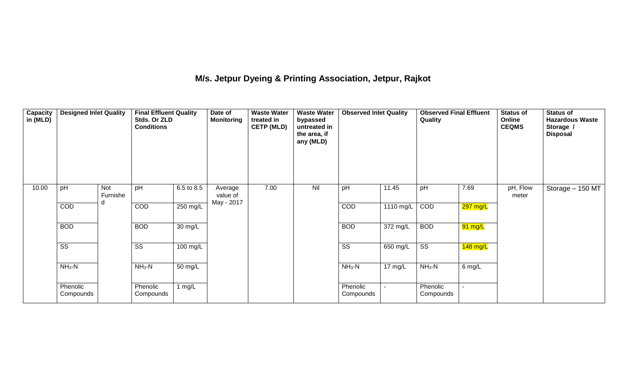## **M/s. Jetpur Dyeing & Printing Association, Jetpur, Rajkot**

| <b>Capacity</b><br>in (MLD) | <b>Designed Inlet Quality</b> |                      | <b>Final Effluent Quality</b><br>Stds. Or ZLD<br><b>Conditions</b> |                       | Date of<br><b>Monitoring</b> | <b>Waste Water</b><br><b>Waste Water</b><br>treated in<br>bypassed<br>untreated in<br><b>CETP (MLD)</b><br>the area, if<br>any (MLD) |     | <b>Observed Inlet Quality</b> |                    | <b>Observed Final Effluent</b><br>Quality |          | <b>Status of</b><br><b>Online</b><br><b>CEQMS</b> | <b>Status of</b><br><b>Hazardous Waste</b><br>Storage /<br><b>Disposal</b> |
|-----------------------------|-------------------------------|----------------------|--------------------------------------------------------------------|-----------------------|------------------------------|--------------------------------------------------------------------------------------------------------------------------------------|-----|-------------------------------|--------------------|-------------------------------------------|----------|---------------------------------------------------|----------------------------------------------------------------------------|
| 10.00                       | pH                            | Not<br>Furnishe<br>d | pH                                                                 | 6.5 to 8.5            | Average<br>value of          | 7.00                                                                                                                                 | Nil | pH                            | 11.45              | pH                                        | 7.69     | pH, Flow<br>meter                                 | Storage - 150 MT                                                           |
|                             | COD                           |                      | COD                                                                | 250 mg/L              | May - 2017                   |                                                                                                                                      |     | COD                           | 1110 mg/L          | COD                                       | 297 mg/L |                                                   |                                                                            |
|                             | <b>BOD</b>                    |                      | <b>BOD</b>                                                         | 30 mg/L               |                              |                                                                                                                                      |     | <b>BOD</b>                    | $372 \text{ mg/L}$ | <b>BOD</b>                                | 91 mg/L  |                                                   |                                                                            |
|                             | $\overline{\text{SS}}$        |                      | $\overline{\text{SS}}$                                             | $\overline{100}$ mg/L |                              |                                                                                                                                      |     | $\overline{\text{SS}}$        | 650 mg/L           | $\overline{\text{SS}}$                    | 148 mg/L |                                                   |                                                                            |
|                             | $NH3-N$                       |                      | $NH3-N$                                                            | $\overline{50}$ mg/L  |                              |                                                                                                                                      |     | $NH3-N$                       | $17 \text{ mg/L}$  | $NH3-N$                                   | $6$ mg/L |                                                   |                                                                            |
|                             | Phenolic<br>Compounds         |                      | Phenolic<br>Compounds                                              | 1 $mg/L$              |                              |                                                                                                                                      |     | Phenolic<br>Compounds         |                    | Phenolic<br>Compounds                     |          |                                                   |                                                                            |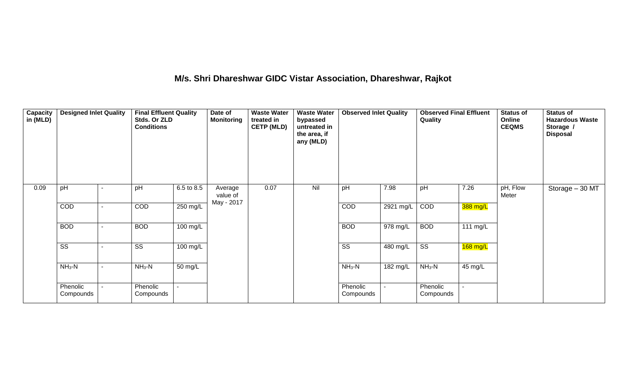### **M/s. Shri Dhareshwar GIDC Vistar Association, Dhareshwar, Rajkot**

| Capacity<br>in (MLD) | <b>Designed Inlet Quality</b> |  | <b>Final Effluent Quality</b><br>Stds. Or ZLD<br><b>Conditions</b> |                      | Date of<br><b>Waste Water</b><br><b>Monitoring</b><br>treated in<br><b>CETP (MLD)</b> |      | <b>Waste Water</b><br>bypassed<br>untreated in<br>the area, if<br>any (MLD) | <b>Observed Inlet Quality</b> |           | <b>Observed Final Effluent</b><br>Quality |            | <b>Status of</b><br><b>Online</b><br><b>CEQMS</b> | <b>Status of</b><br><b>Hazardous Waste</b><br>Storage /<br><b>Disposal</b> |
|----------------------|-------------------------------|--|--------------------------------------------------------------------|----------------------|---------------------------------------------------------------------------------------|------|-----------------------------------------------------------------------------|-------------------------------|-----------|-------------------------------------------|------------|---------------------------------------------------|----------------------------------------------------------------------------|
| 0.09                 | pH                            |  | pH                                                                 | 6.5 to 8.5           | Average<br>value of<br>May - 2017                                                     | 0.07 | Nil                                                                         | pH                            | 7.98      | pH                                        | 7.26       | pH, Flow<br>Meter                                 | Storage - 30 MT                                                            |
|                      | <b>COD</b>                    |  | COD                                                                | 250 mg/L             |                                                                                       |      |                                                                             | COD                           | 2921 mg/L | COD                                       | 388 mg/L   |                                                   |                                                                            |
|                      | <b>BOD</b>                    |  | <b>BOD</b>                                                         | 100 mg/L             |                                                                                       |      |                                                                             | <b>BOD</b>                    | 978 mg/L  | <b>BOD</b>                                | 111 mg/L   |                                                   |                                                                            |
|                      | $\overline{\text{SS}}$        |  | $\overline{\text{SS}}$                                             | 100 mg/L             |                                                                                       |      |                                                                             | $\overline{\text{SS}}$        | 480 mg/L  | $\overline{\text{ss}}$                    | $168$ mg/L |                                                   |                                                                            |
|                      | $NH3-N$                       |  | $NH3-N$                                                            | $\overline{50}$ mg/L |                                                                                       |      |                                                                             | $NH3-N$                       | 182 mg/L  | $NH3-N$                                   | 45 mg/L    |                                                   |                                                                            |
|                      | Phenolic<br>Compounds         |  | Phenolic<br>Compounds                                              |                      |                                                                                       |      |                                                                             | Phenolic<br>Compounds         |           | Phenolic<br>Compounds                     |            |                                                   |                                                                            |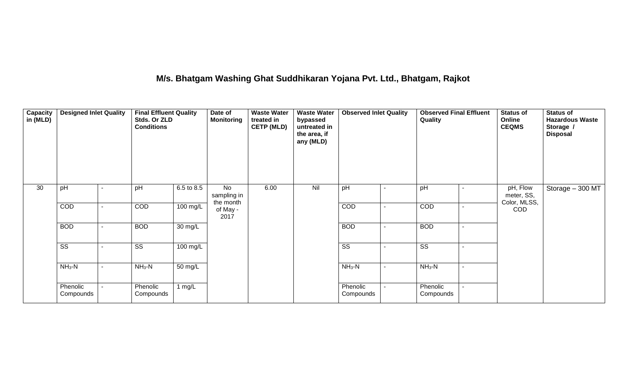### **M/s. Bhatgam Washing Ghat Suddhikaran Yojana Pvt. Ltd., Bhatgam, Rajkot**

| Capacity<br>in (MLD) | <b>Designed Inlet Quality</b> |  |                        | <b>Final Effluent Quality</b><br>Stds. Or ZLD<br><b>Conditions</b> |                                | <b>Waste Water</b><br>treated in<br><b>CETP (MLD)</b> | <b>Waste Water</b><br>bypassed<br>untreated in<br>the area, if<br>any (MLD) | <b>Observed Inlet Quality</b> | <b>Observed Final Effluent</b><br>Quality |  | <b>Status of</b><br>Online<br><b>CEQMS</b> | <b>Status of</b><br><b>Hazardous Waste</b><br>Storage /<br><b>Disposal</b> |
|----------------------|-------------------------------|--|------------------------|--------------------------------------------------------------------|--------------------------------|-------------------------------------------------------|-----------------------------------------------------------------------------|-------------------------------|-------------------------------------------|--|--------------------------------------------|----------------------------------------------------------------------------|
| 30                   | pH                            |  | pH                     | 6.5 to 8.5                                                         | No<br>sampling in<br>the month | 6.00                                                  | Nil                                                                         | pH                            | pH                                        |  | pH, Flow<br>meter, SS,<br>Color, MLSS,     | Storage - 300 MT                                                           |
|                      | COD                           |  | COD                    | 100 mg/L                                                           | of May -<br>2017               |                                                       |                                                                             | <b>COD</b>                    | <b>COD</b>                                |  | <b>COD</b>                                 |                                                                            |
|                      | <b>BOD</b>                    |  | <b>BOD</b>             | 30 mg/L                                                            |                                |                                                       |                                                                             | <b>BOD</b>                    | <b>BOD</b>                                |  |                                            |                                                                            |
|                      | $\overline{\text{ss}}$        |  | $\overline{\text{SS}}$ | $\overline{100}$ mg/L                                              |                                |                                                       |                                                                             | $\overline{\text{ss}}$        | $\overline{\text{ss}}$                    |  |                                            |                                                                            |
|                      | $NH3-N$                       |  | $NH3-N$                | $50 \text{ mg/L}$                                                  |                                |                                                       |                                                                             | $NH3-N$                       | $NH3-N$                                   |  |                                            |                                                                            |
|                      | Phenolic<br>Compounds         |  | Phenolic<br>Compounds  | 1 $mg/L$                                                           |                                |                                                       |                                                                             | Phenolic<br>Compounds         | Phenolic<br>Compounds                     |  |                                            |                                                                            |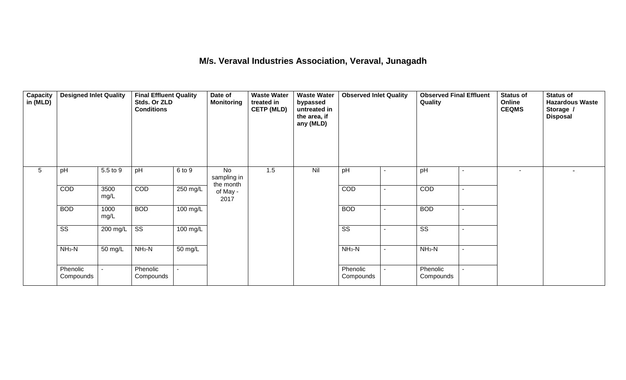#### **M/s. Veraval Industries Association, Veraval, Junagadh**

| Capacity<br>in $(MLD)$ | <b>Designed Inlet Quality</b> |              | <b>Final Effluent Quality</b><br>Stds. Or ZLD<br><b>Conditions</b> |          | Date of<br><b>Monitoring</b>   | <b>Waste Water</b><br>treated in<br><b>CETP (MLD)</b><br>1.5 | <b>Waste Water</b><br>bypassed<br>untreated in<br>the area, if<br>any (MLD) | <b>Observed Inlet Quality</b> |                          | <b>Observed Final Effluent</b><br>Quality |        | <b>Status of</b><br>Online<br><b>CEQMS</b> | <b>Status of</b><br><b>Hazardous Waste</b><br>Storage /<br><b>Disposal</b> |
|------------------------|-------------------------------|--------------|--------------------------------------------------------------------|----------|--------------------------------|--------------------------------------------------------------|-----------------------------------------------------------------------------|-------------------------------|--------------------------|-------------------------------------------|--------|--------------------------------------------|----------------------------------------------------------------------------|
| $5\phantom{.0}$        | pH                            | 5.5 to 9     | pH                                                                 | 6 to 9   | No<br>sampling in<br>the month |                                                              | Nil                                                                         | pH                            |                          | pH                                        |        | $\sim$                                     |                                                                            |
|                        | COD                           | 3500<br>mg/L | COD                                                                | 250 mg/L | of May -<br>2017               |                                                              |                                                                             | COD                           |                          | COD                                       |        |                                            |                                                                            |
|                        | <b>BOD</b>                    | 1000<br>mg/L | <b>BOD</b>                                                         | 100 mg/L |                                |                                                              |                                                                             | <b>BOD</b>                    | $\overline{\phantom{a}}$ | <b>BOD</b>                                | $\sim$ |                                            |                                                                            |
|                        | $\overline{\text{ss}}$        | 200 mg/L     | $\overline{\text{ss}}$                                             | 100 mg/L |                                |                                                              |                                                                             | $\overline{\text{ss}}$        |                          | $\overline{\text{ss}}$                    |        |                                            |                                                                            |
|                        | $NH3-N$                       | 50 mg/L      | $NH3-N$                                                            | 50 mg/L  |                                |                                                              |                                                                             | $NH3-N$                       | $\overline{\phantom{a}}$ | $NH3-N$                                   |        |                                            |                                                                            |
|                        | Phenolic<br>Compounds         |              | Phenolic<br>Compounds                                              |          |                                |                                                              |                                                                             | Phenolic<br>Compounds         |                          | Phenolic<br>Compounds                     |        |                                            |                                                                            |